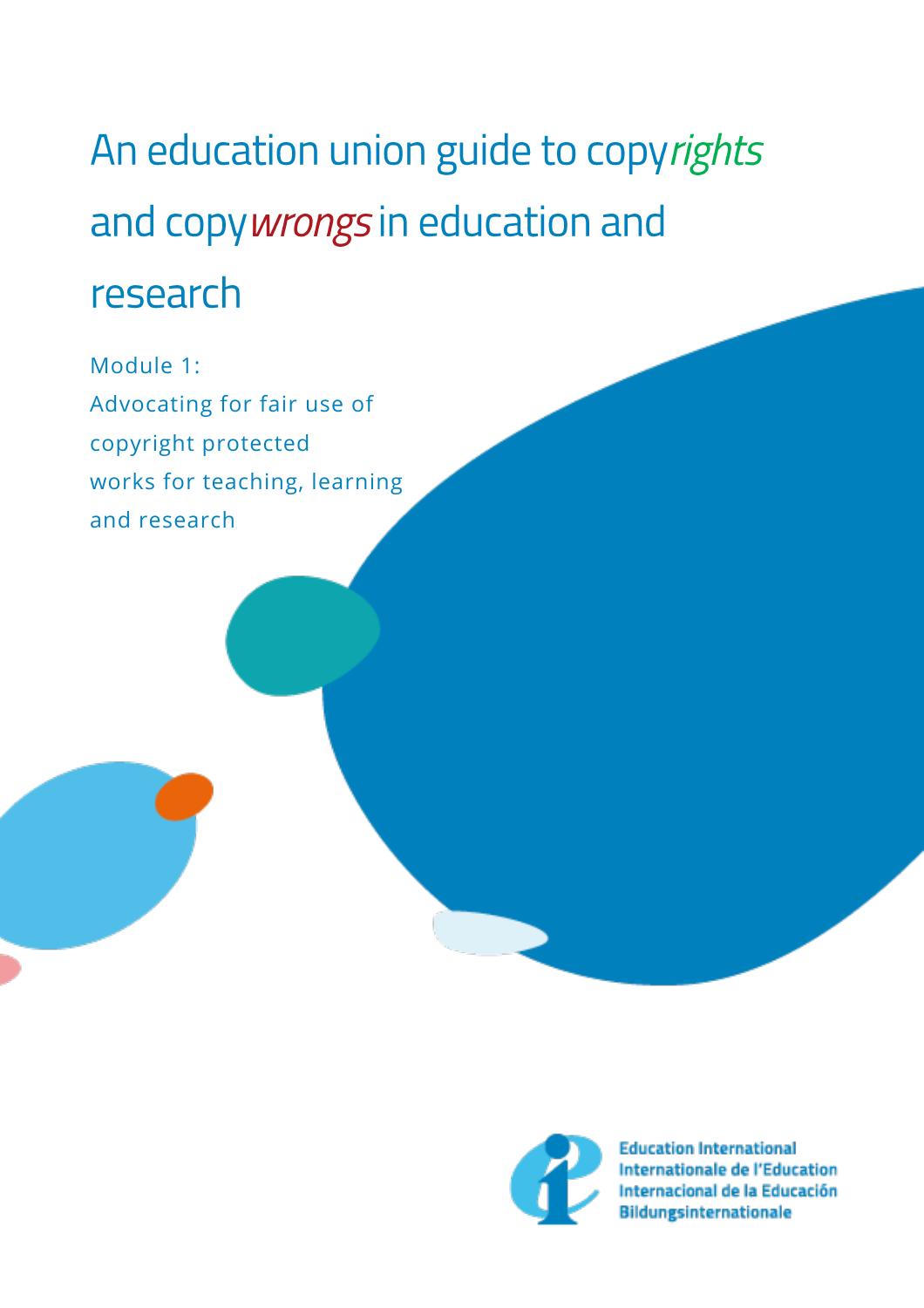# An education union guide to copyrights and copywrongs in education and research

Module 1: Advocating for fair use of copyright protected works for teaching, learning and research



**Education International** Internationale de l'Education Internacional de la Educación **Bildungsinternationale**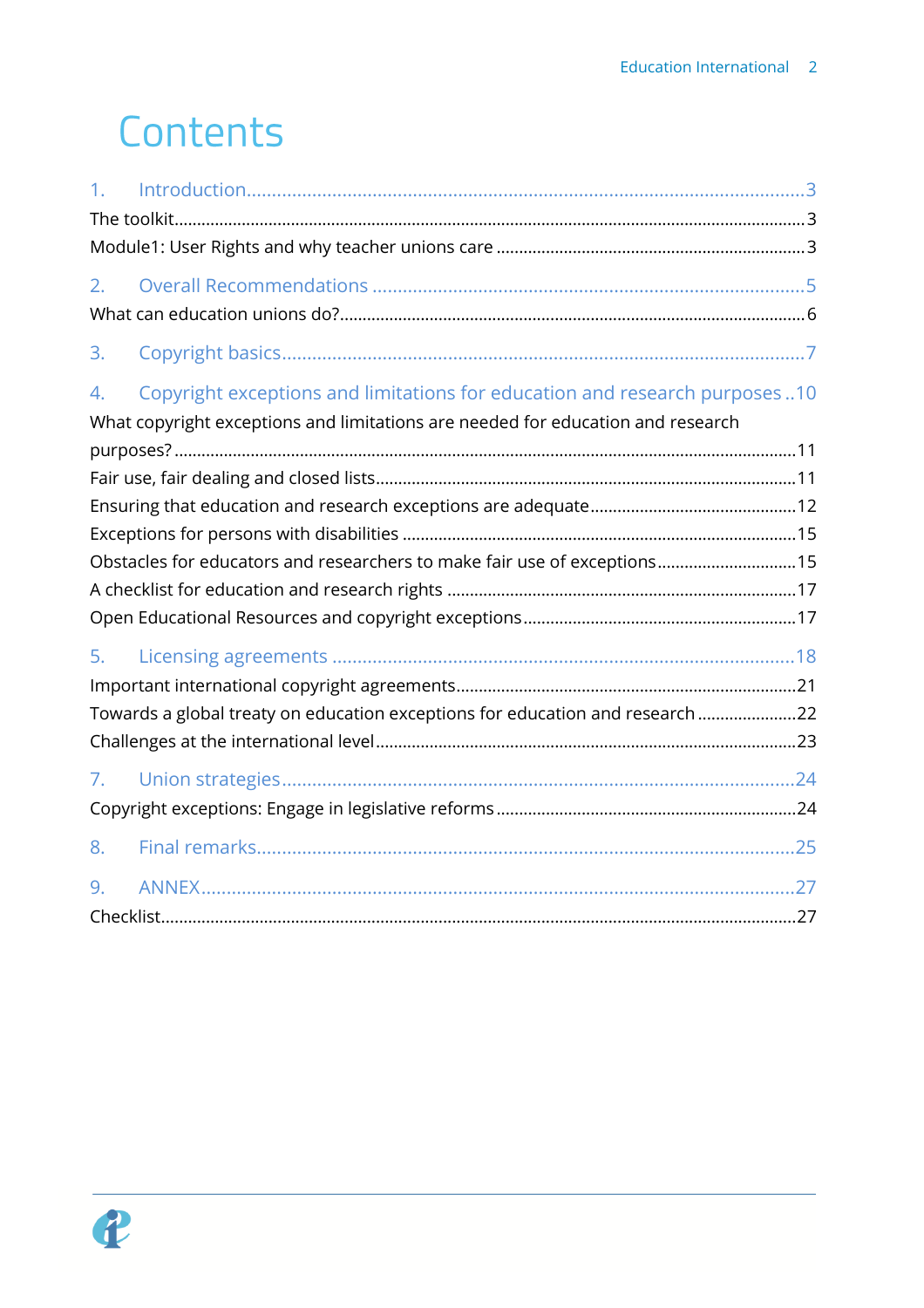# Contents

| 1 <sub>1</sub>                                                            |                                                                                                                                                               |  |  |  |  |
|---------------------------------------------------------------------------|---------------------------------------------------------------------------------------------------------------------------------------------------------------|--|--|--|--|
|                                                                           |                                                                                                                                                               |  |  |  |  |
| 2.                                                                        |                                                                                                                                                               |  |  |  |  |
| 3.                                                                        |                                                                                                                                                               |  |  |  |  |
| 4.                                                                        | Copyright exceptions and limitations for education and research purposes10<br>What copyright exceptions and limitations are needed for education and research |  |  |  |  |
|                                                                           |                                                                                                                                                               |  |  |  |  |
|                                                                           |                                                                                                                                                               |  |  |  |  |
|                                                                           |                                                                                                                                                               |  |  |  |  |
|                                                                           |                                                                                                                                                               |  |  |  |  |
| Obstacles for educators and researchers to make fair use of exceptions 15 |                                                                                                                                                               |  |  |  |  |
|                                                                           |                                                                                                                                                               |  |  |  |  |
|                                                                           |                                                                                                                                                               |  |  |  |  |
| 5.                                                                        |                                                                                                                                                               |  |  |  |  |
|                                                                           |                                                                                                                                                               |  |  |  |  |
|                                                                           | Towards a global treaty on education exceptions for education and research 22                                                                                 |  |  |  |  |
|                                                                           |                                                                                                                                                               |  |  |  |  |
| 7.                                                                        |                                                                                                                                                               |  |  |  |  |
|                                                                           |                                                                                                                                                               |  |  |  |  |
| 8.                                                                        |                                                                                                                                                               |  |  |  |  |
| 9.                                                                        |                                                                                                                                                               |  |  |  |  |
|                                                                           |                                                                                                                                                               |  |  |  |  |

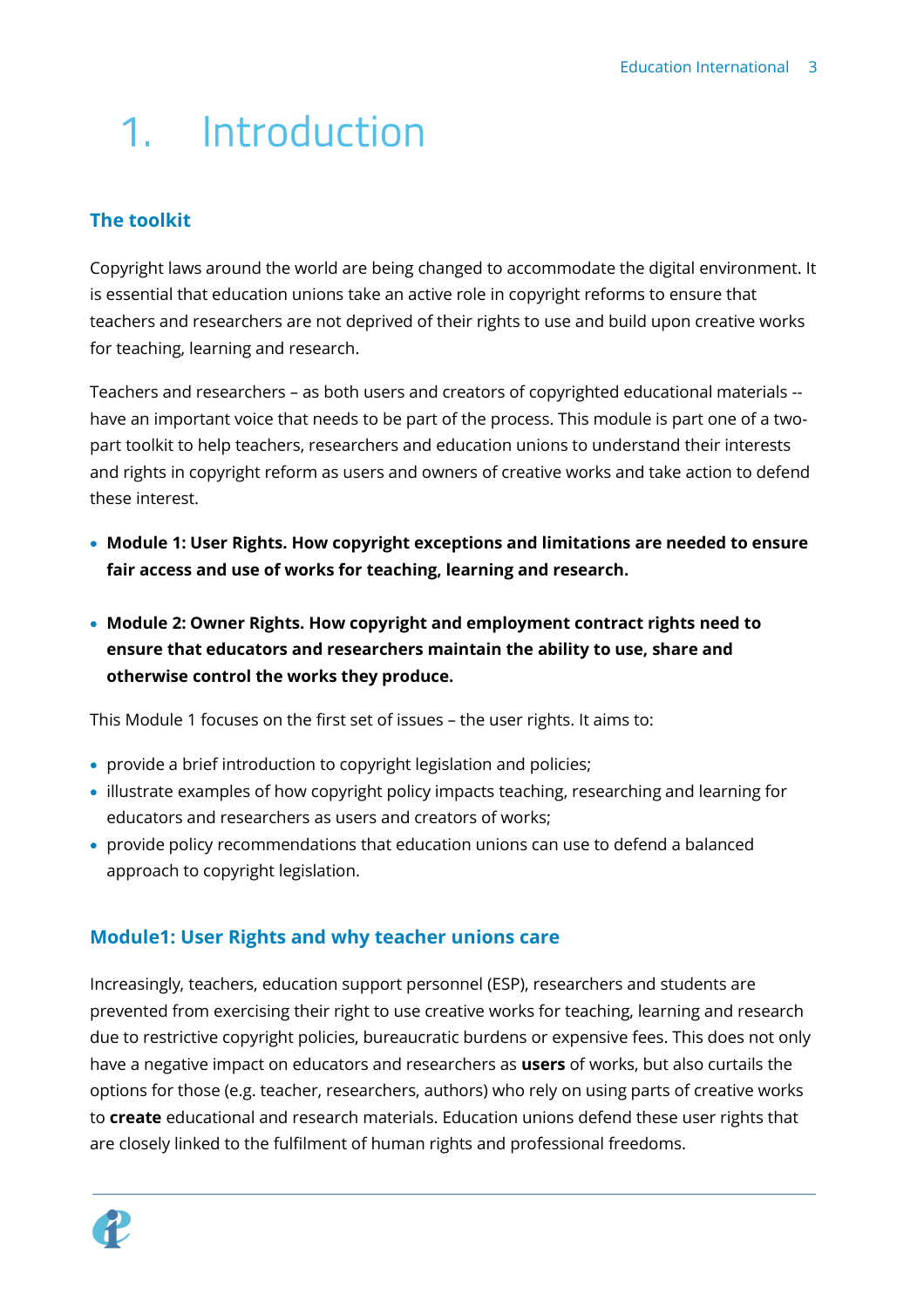# <span id="page-2-0"></span>1. Introduction

# <span id="page-2-1"></span>**The toolkit**

Copyright laws around the world are being changed to accommodate the digital environment. It is essential that education unions take an active role in copyright reforms to ensure that teachers and researchers are not deprived of their rights to use and build upon creative works for teaching, learning and research.

Teachers and researchers – as both users and creators of copyrighted educational materials - have an important voice that needs to be part of the process. This module is part one of a twopart toolkit to help teachers, researchers and education unions to understand their interests and rights in copyright reform as users and owners of creative works and take action to defend these interest.

- **Module 1: User Rights. How copyright exceptions and limitations are needed to ensure fair access and use of works for teaching, learning and research.**
- **Module 2: Owner Rights. How copyright and employment contract rights need to ensure that educators and researchers maintain the ability to use, share and otherwise control the works they produce.**

This Module 1 focuses on the first set of issues – the user rights. It aims to:

- provide a brief introduction to copyright legislation and policies;
- illustrate examples of how copyright policy impacts teaching, researching and learning for educators and researchers as users and creators of works;
- provide policy recommendations that education unions can use to defend a balanced approach to copyright legislation.

## <span id="page-2-2"></span>**Module1: User Rights and why teacher unions care**

Increasingly, teachers, education support personnel (ESP), researchers and students are prevented from exercising their right to use creative works for teaching, learning and research due to restrictive copyright policies, bureaucratic burdens or expensive fees. This does not only have a negative impact on educators and researchers as **users** of works, but also curtails the options for those (e.g. teacher, researchers, authors) who rely on using parts of creative works to **create** educational and research materials. Education unions defend these user rights that are closely linked to the fulfilment of human rights and professional freedoms.

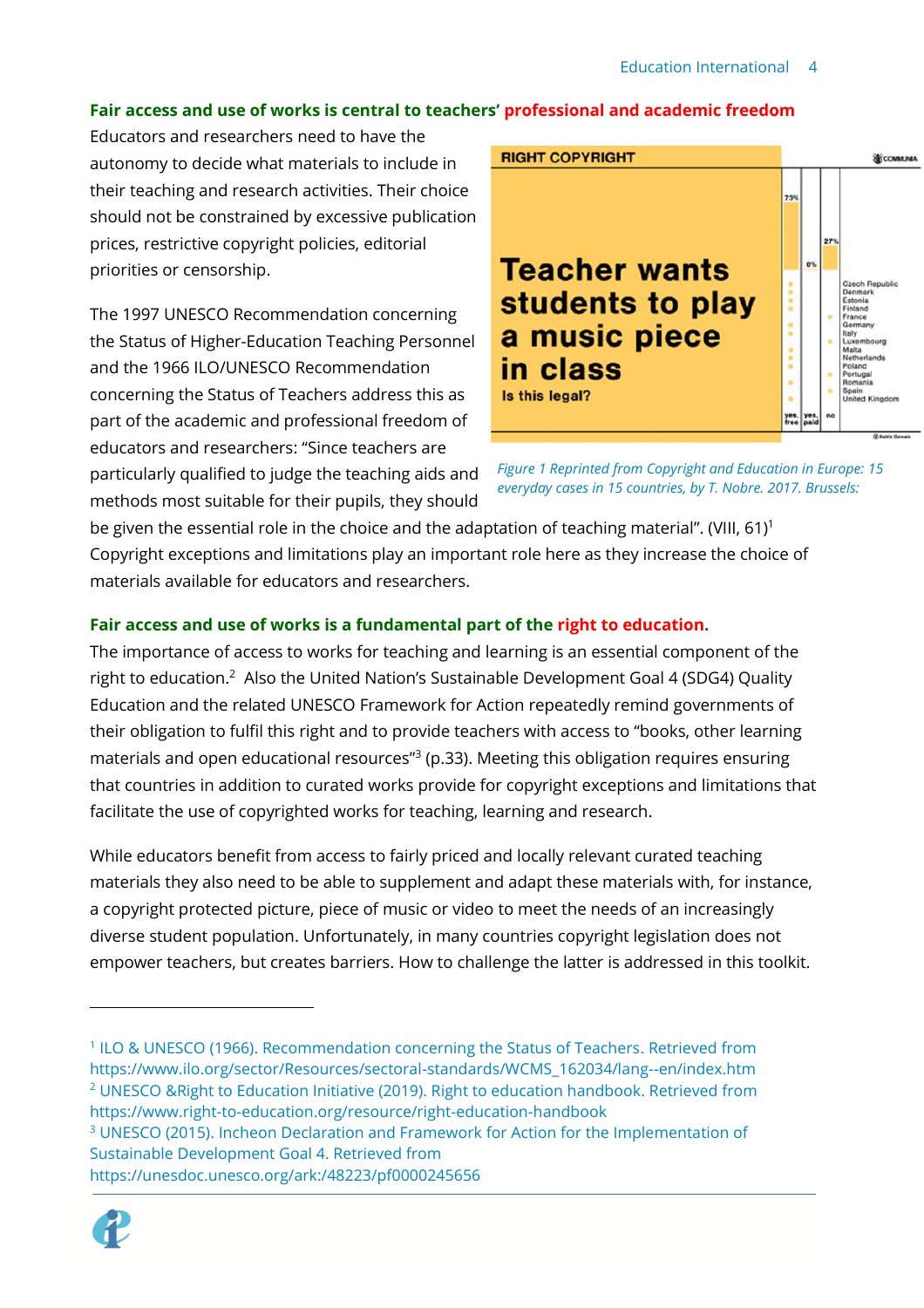#### **Fair access and use of works is central to teachers' professional and academic freedom**

Educators and researchers need to have the autonomy to decide what materials to include in their teaching and research activities. Their choice should not be constrained by excessive publication prices, restrictive copyright policies, editorial priorities or censorship.

The 1997 UNESCO Recommendation concerning the Status of Higher-Education Teaching Personnel and the 1966 ILO/UNESCO Recommendation concerning the Status of Teachers address this as part of the academic and professional freedom of educators and researchers: "Since teachers are particularly qualified to judge the teaching aids and methods most suitable for their pupils, they should





be given the essential role in the choice and the adaptation of teaching material". (VIII, 61)<sup>1</sup> Copyright exceptions and limitations play an important role here as they increase the choice of materials available for educators and researchers.

### **Fair access and use of works is a fundamental part of the right to education.**

The importance of access to works for teaching and learning is an essential component of the right to education.<sup>2</sup> Also the United Nation's Sustainable Development Goal 4 (SDG4) Quality Education and the related UNESCO Framework for Action repeatedly remind governments of their obligation to fulfil this right and to provide teachers with access to "books, other learning materials and open educational resources<sup>"3</sup> (p.33). Meeting this obligation requires ensuring that countries in addition to curated works provide for copyright exceptions and limitations that facilitate the use of copyrighted works for teaching, learning and research.

While educators benefit from access to fairly priced and locally relevant curated teaching materials they also need to be able to supplement and adapt these materials with, for instance, a copyright protected picture, piece of music or video to meet the needs of an increasingly diverse student population. Unfortunately, in many countries copyright legislation does not empower teachers, but creates barriers. How to challenge the latter is addressed in this toolkit.

https://unesdoc.unesco.org/ark:/48223/pf0000245656



<sup>&</sup>lt;sup>1</sup> ILO & UNESCO (1966). Recommendation concerning the Status of Teachers. Retrieved from https://www.ilo.org/sector/Resources/sectoral-standards/WCMS\_162034/lang--en/index.htm <sup>2</sup> UNESCO &Right to Education Initiative (2019). Right to education handbook. Retrieved from https://www.right-to-education.org/resource/right-education-handbook

<sup>&</sup>lt;sup>3</sup> UNESCO (2015). Incheon Declaration and Framework for Action for the Implementation of Sustainable Development Goal 4. Retrieved from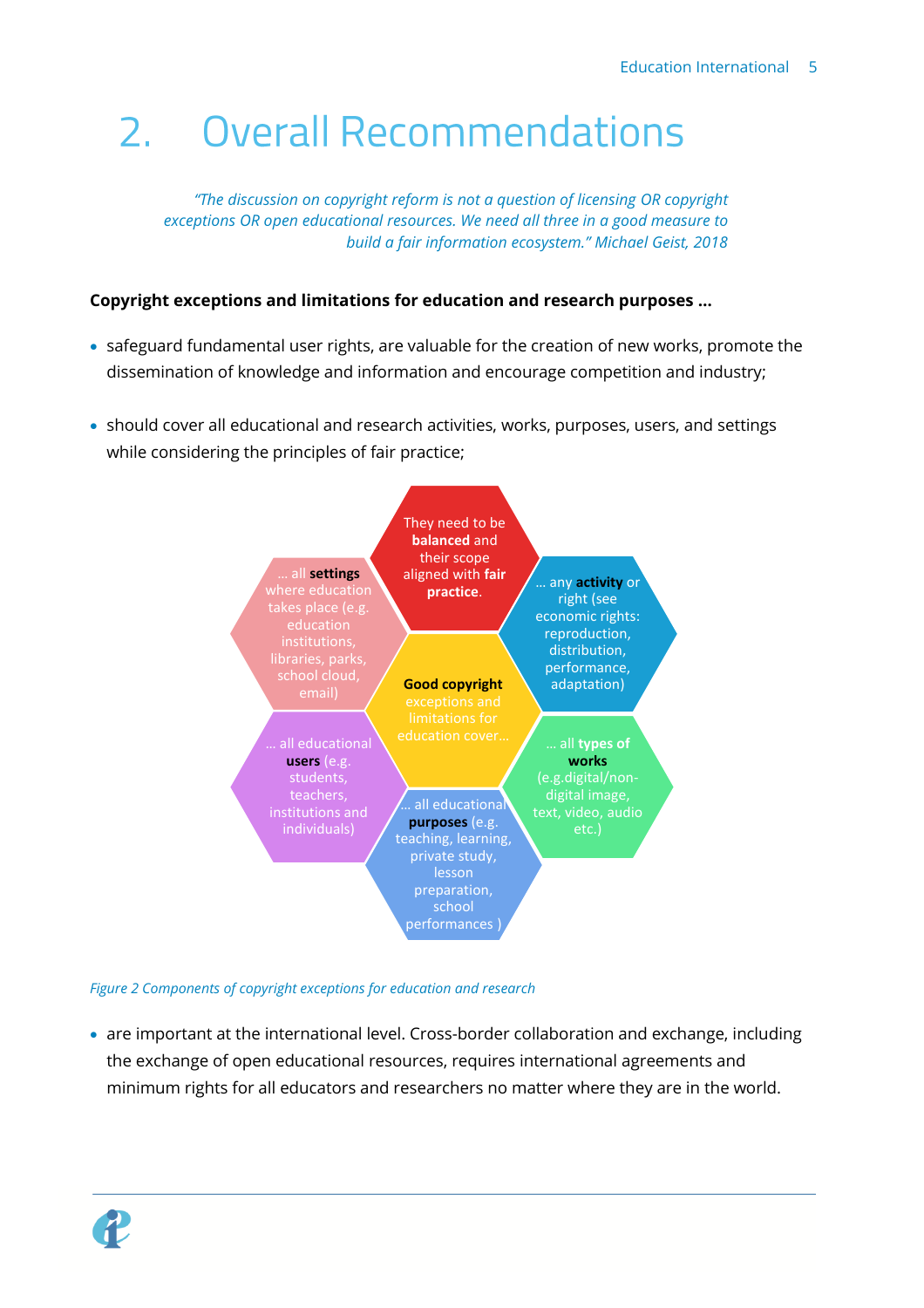# <span id="page-4-0"></span>**Overall Recommendations**  $2.$

*"The discussion on copyright reform is not a question of licensing OR copyright exceptions OR open educational resources. We need all three in a good measure to build a fair information ecosystem." Michael Geist, 2018*

#### **Copyright exceptions and limitations for education and research purposes …**

- safeguard fundamental user rights, are valuable for the creation of new works, promote the dissemination of knowledge and information and encourage competition and industry;
- should cover all educational and research activities, works, purposes, users, and settings while considering the principles of fair practice;



*Figure 2 Components of copyright exceptions for education and research*

• are important at the international level. Cross-border collaboration and exchange, including the exchange of open educational resources, requires international agreements and minimum rights for all educators and researchers no matter where they are in the world.

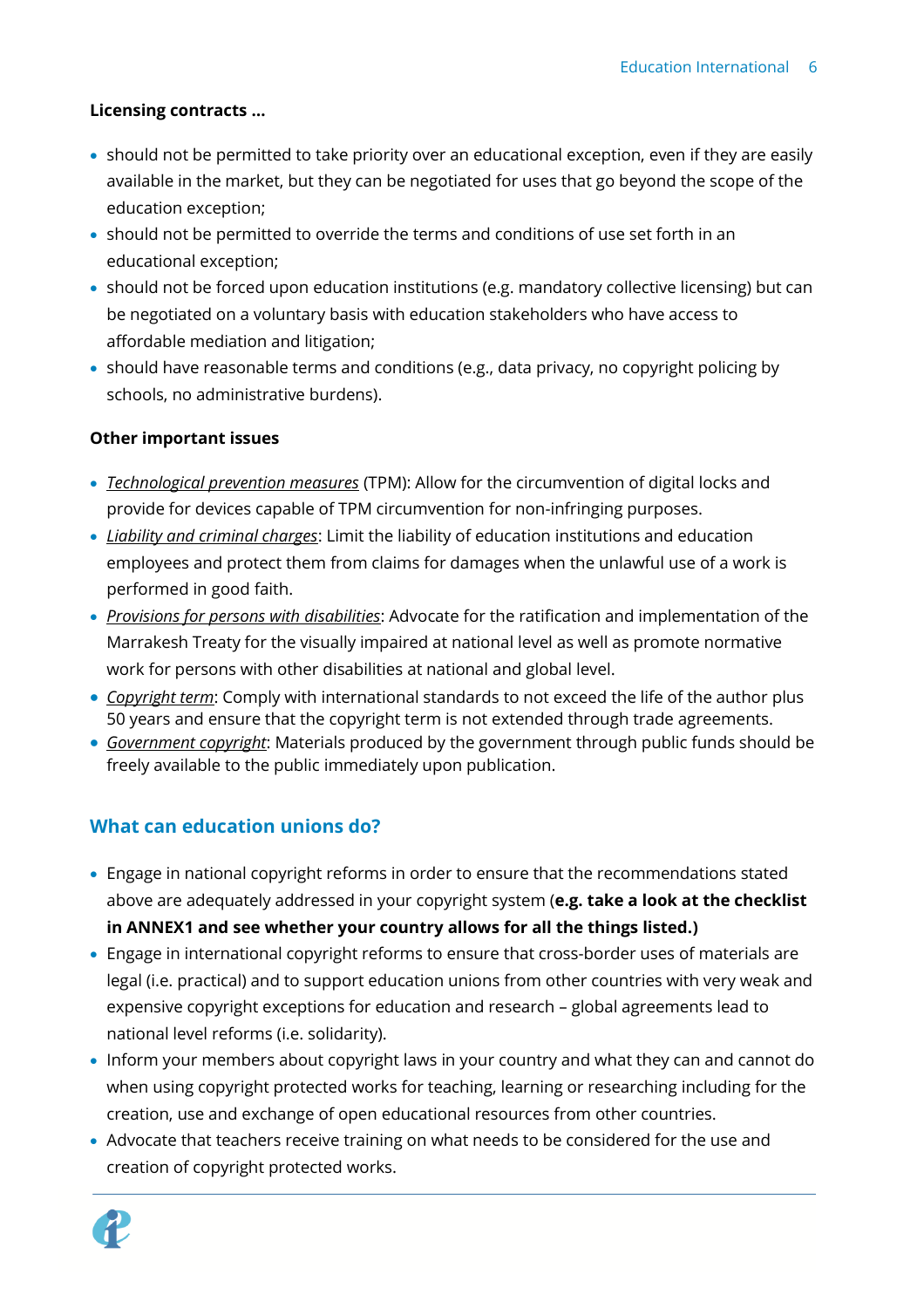### **Licensing contracts …**

- should not be permitted to take priority over an educational exception, even if they are easily available in the market, but they can be negotiated for uses that go beyond the scope of the education exception;
- should not be permitted to override the terms and conditions of use set forth in an educational exception;
- should not be forced upon education institutions (e.g. mandatory collective licensing) but can be negotiated on a voluntary basis with education stakeholders who have access to affordable mediation and litigation;
- should have reasonable terms and conditions (e.g., data privacy, no copyright policing by schools, no administrative burdens).

#### **Other important issues**

- *Technological prevention measures* (TPM): Allow for the circumvention of digital locks and provide for devices capable of TPM circumvention for non-infringing purposes.
- *Liability and criminal charges*: Limit the liability of education institutions and education employees and protect them from claims for damages when the unlawful use of a work is performed in good faith.
- *Provisions for persons with disabilities*: Advocate for the ratification and implementation of the Marrakesh Treaty for the visually impaired at national level as well as promote normative work for persons with other disabilities at national and global level.
- *Copyright term*: Comply with international standards to not exceed the life of the author plus 50 years and ensure that the copyright term is not extended through trade agreements.
- *Government copyright*: Materials produced by the government through public funds should be freely available to the public immediately upon publication.

## <span id="page-5-0"></span>**What can education unions do?**

- Engage in national copyright reforms in order to ensure that the recommendations stated above are adequately addressed in your copyright system (**e.g. take a look at the checklist in ANNEX1 and see whether your country allows for all the things listed.)**
- Engage in international copyright reforms to ensure that cross-border uses of materials are legal (i.e. practical) and to support education unions from other countries with very weak and expensive copyright exceptions for education and research – global agreements lead to national level reforms (i.e. solidarity).
- Inform your members about copyright laws in your country and what they can and cannot do when using copyright protected works for teaching, learning or researching including for the creation, use and exchange of open educational resources from other countries.
- Advocate that teachers receive training on what needs to be considered for the use and creation of copyright protected works.

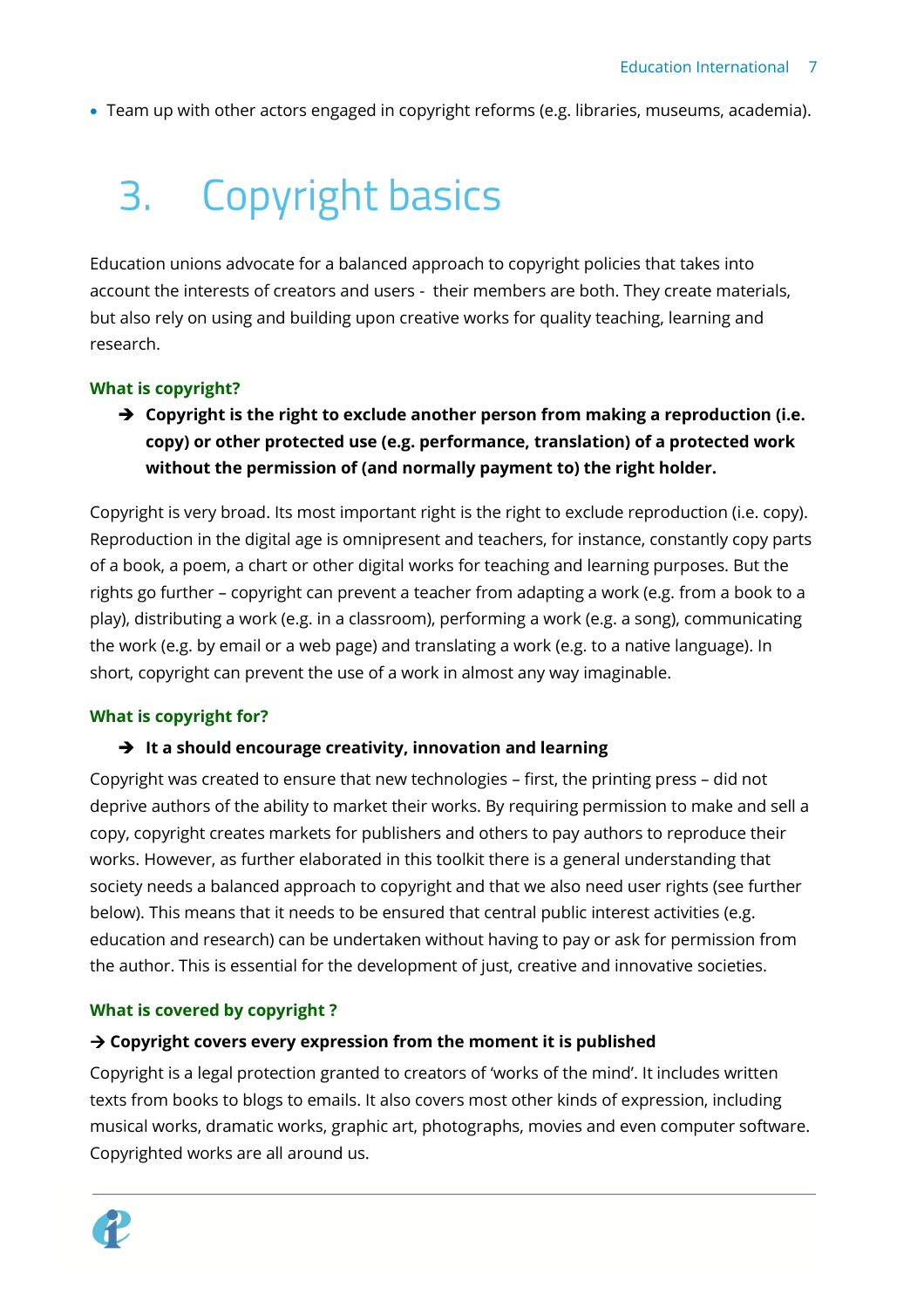• Team up with other actors engaged in copyright reforms (e.g. libraries, museums, academia).

# <span id="page-6-0"></span>**Copyright basics**  $3.$

Education unions advocate for a balanced approach to copyright policies that takes into account the interests of creators and users - their members are both. They create materials, but also rely on using and building upon creative works for quality teaching, learning and research.

#### **What is copyright?**

➔ **Copyright is the right to exclude another person from making a reproduction (i.e. copy) or other protected use (e.g. performance, translation) of a protected work without the permission of (and normally payment to) the right holder.** 

Copyright is very broad. Its most important right is the right to exclude reproduction (i.e. copy). Reproduction in the digital age is omnipresent and teachers, for instance, constantly copy parts of a book, a poem, a chart or other digital works for teaching and learning purposes. But the rights go further – copyright can prevent a teacher from adapting a work (e.g. from a book to a play), distributing a work (e.g. in a classroom), performing a work (e.g. a song), communicating the work (e.g. by email or a web page) and translating a work (e.g. to a native language). In short, copyright can prevent the use of a work in almost any way imaginable.

#### **What is copyright for?**

#### ➔ **It a should encourage creativity, innovation and learning**

Copyright was created to ensure that new technologies – first, the printing press – did not deprive authors of the ability to market their works. By requiring permission to make and sell a copy, copyright creates markets for publishers and others to pay authors to reproduce their works. However, as further elaborated in this toolkit there is a general understanding that society needs a balanced approach to copyright and that we also need user rights (see further below). This means that it needs to be ensured that central public interest activities (e.g. education and research) can be undertaken without having to pay or ask for permission from the author. This is essential for the development of just, creative and innovative societies.

#### **What is covered by copyright ?**

#### → **Copyright covers every expression from the moment it is published**

Copyright is a legal protection granted to creators of 'works of the mind'. It includes written texts from books to blogs to emails. It also covers most other kinds of expression, including musical works, dramatic works, graphic art, photographs, movies and even computer software. Copyrighted works are all around us.

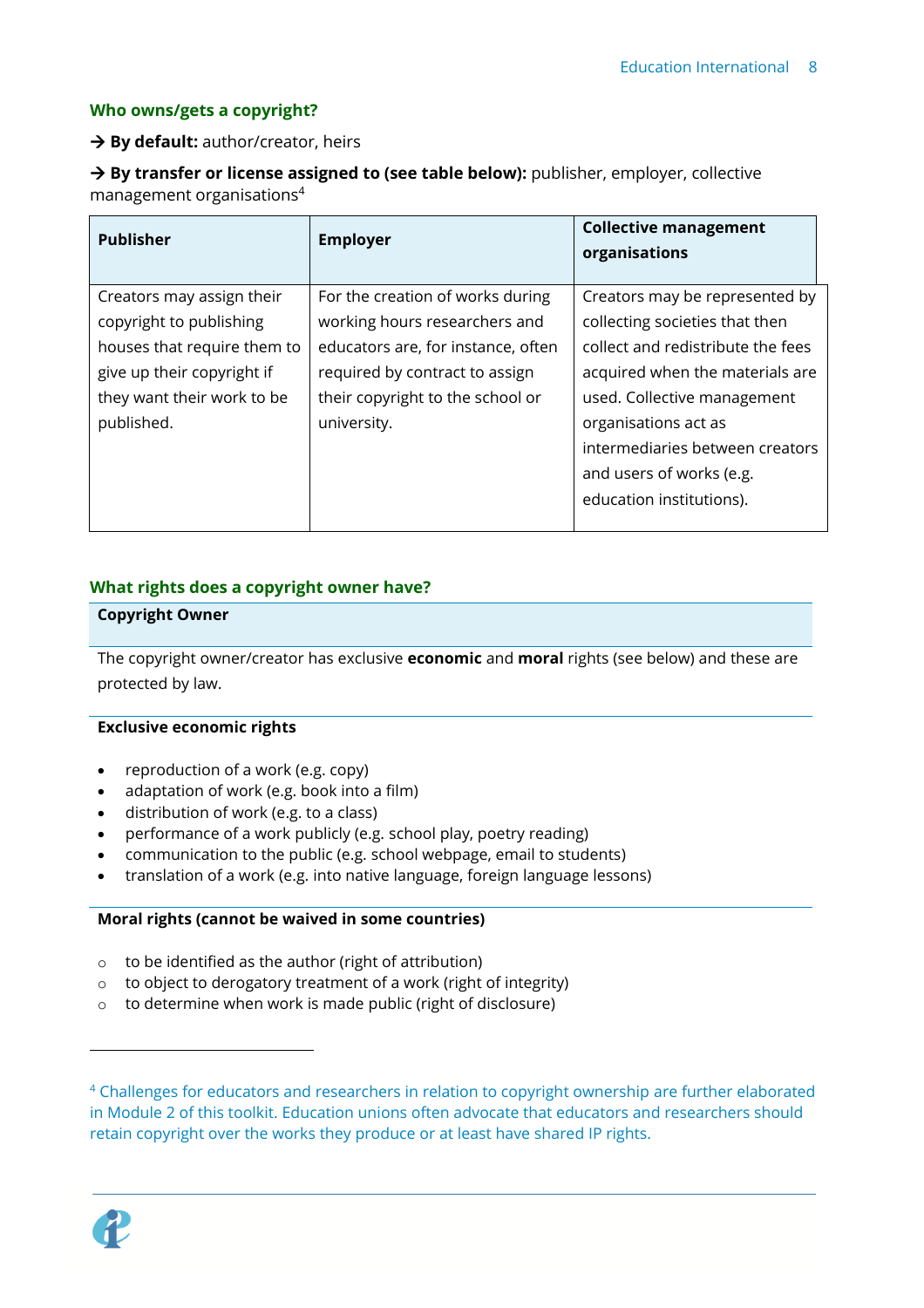#### **Who owns/gets a copyright?**

#### → **By default:** author/creator, heirs

→ **By transfer or license assigned to (see table below):** publisher, employer, collective management organisations<sup>4</sup>

| <b>Publisher</b>            | <b>Employer</b>                    | <b>Collective management</b><br>organisations |
|-----------------------------|------------------------------------|-----------------------------------------------|
| Creators may assign their   | For the creation of works during   | Creators may be represented by                |
| copyright to publishing     | working hours researchers and      | collecting societies that then                |
| houses that require them to | educators are, for instance, often | collect and redistribute the fees             |
| give up their copyright if  | required by contract to assign     | acquired when the materials are               |
| they want their work to be  | their copyright to the school or   | used. Collective management                   |
| published.                  | university.                        | organisations act as                          |
|                             |                                    | intermediaries between creators               |
|                             |                                    | and users of works (e.g.                      |
|                             |                                    | education institutions).                      |
|                             |                                    |                                               |

#### **What rights does a copyright owner have?**

#### **Copyright Owner**

The copyright owner/creator has exclusive **economic** and **moral** rights (see below) and these are protected by law.

#### **Exclusive economic rights**

- reproduction of a work (e.g. copy)
- adaptation of work (e.g. book into a film)
- distribution of work (e.g. to a class)
- performance of a work publicly (e.g. school play, poetry reading)
- communication to the public (e.g. school webpage, email to students)
- translation of a work (e.g. into native language, foreign language lessons)

#### **Moral rights (cannot be waived in some countries)**

- o to be identified as the author (right of attribution)
- o to object to derogatory treatment of a work (right of integrity)
- o to determine when work is made public (right of disclosure)

<sup>&</sup>lt;sup>4</sup> Challenges for educators and researchers in relation to copyright ownership are further elaborated in Module 2 of this toolkit. Education unions often advocate that educators and researchers should retain copyright over the works they produce or at least have shared IP rights.

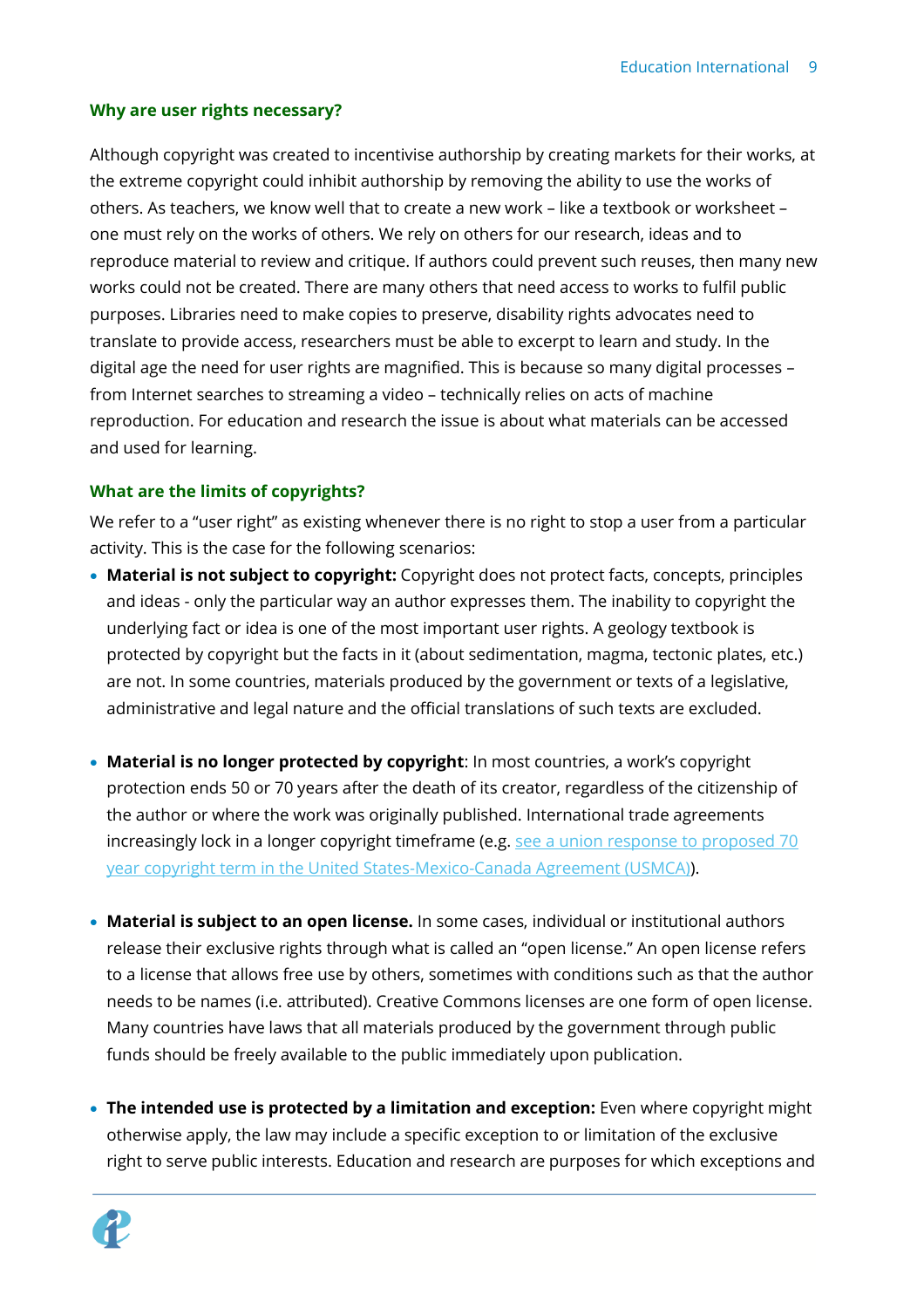#### **Why are user rights necessary?**

Although copyright was created to incentivise authorship by creating markets for their works, at the extreme copyright could inhibit authorship by removing the ability to use the works of others. As teachers, we know well that to create a new work – like a textbook or worksheet – one must rely on the works of others. We rely on others for our research, ideas and to reproduce material to review and critique. If authors could prevent such reuses, then many new works could not be created. There are many others that need access to works to fulfil public purposes. Libraries need to make copies to preserve, disability rights advocates need to translate to provide access, researchers must be able to excerpt to learn and study. In the digital age the need for user rights are magnified. This is because so many digital processes – from Internet searches to streaming a video – technically relies on acts of machine reproduction. For education and research the issue is about what materials can be accessed and used for learning.

#### **What are the limits of copyrights?**

We refer to a "user right" as existing whenever there is no right to stop a user from a particular activity. This is the case for the following scenarios:

- **Material is not subject to copyright:** Copyright does not protect facts, concepts, principles and ideas - only the particular way an author expresses them. The inability to copyright the underlying fact or idea is one of the most important user rights. A geology textbook is protected by copyright but the facts in it (about sedimentation, magma, tectonic plates, etc.) are not. In some countries, materials produced by the government or texts of a legislative, administrative and legal nature and the official translations of such texts are excluded.
- **Material is no longer protected by copyright**: In most countries, a work's copyright protection ends 50 or 70 years after the death of its creator, regardless of the citizenship of the author or where the work was originally published. International trade agreements increasingly lock in a longer copyright timeframe (e.g. [see a union response to proposed](https://www.caut.ca/latest/2018/10/copyright-balance-needed-wake-united-states-mexico-canada-agreement) 70 year copyright term in [the United States-Mexico-Canada Agreement \(USMCA\)\)](https://www.caut.ca/latest/2018/10/copyright-balance-needed-wake-united-states-mexico-canada-agreement).
- **Material is subject to an open license.** In some cases, individual or institutional authors release their exclusive rights through what is called an "open license." An open license refers to a license that allows free use by others, sometimes with conditions such as that the author needs to be names (i.e. attributed). Creative Commons licenses are one form of open license. Many countries have laws that all materials produced by the government through public funds should be freely available to the public immediately upon publication.
- **The intended use is protected by a limitation and exception:** Even where copyright might otherwise apply, the law may include a specific exception to or limitation of the exclusive right to serve public interests. Education and research are purposes for which exceptions and

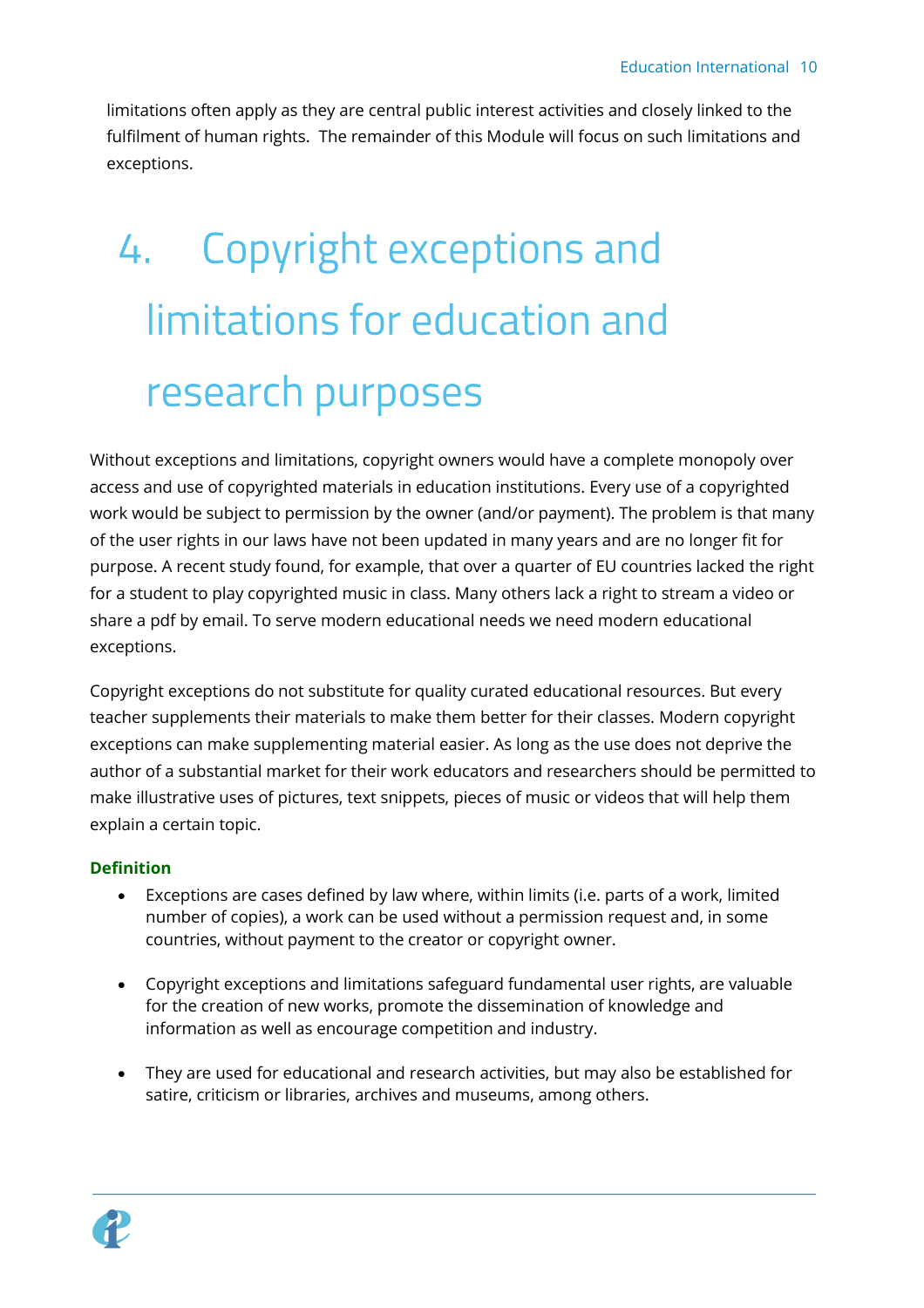limitations often apply as they are central public interest activities and closely linked to the fulfilment of human rights. The remainder of this Module will focus on such limitations and exceptions.

# <span id="page-9-0"></span>**Copyright exceptions and** 4. limitations for education and research purposes

Without exceptions and limitations, copyright owners would have a complete monopoly over access and use of copyrighted materials in education institutions. Every use of a copyrighted work would be subject to permission by the owner (and/or payment). The problem is that many of the user rights in our laws have not been updated in many years and are no longer fit for purpose. A recent study found, for example, that over a quarter of EU countries lacked the right for a student to play copyrighted music in class. Many others lack a right to stream a video or share a pdf by email. To serve modern educational needs we need modern educational exceptions.

Copyright exceptions do not substitute for quality curated educational resources. But every teacher supplements their materials to make them better for their classes. Modern copyright exceptions can make supplementing material easier. As long as the use does not deprive the author of a substantial market for their work educators and researchers should be permitted to make illustrative uses of pictures, text snippets, pieces of music or videos that will help them explain a certain topic.

### **Definition**

- Exceptions are cases defined by law where, within limits (i.e. parts of a work, limited number of copies), a work can be used without a permission request and, in some countries, without payment to the creator or copyright owner.
- Copyright exceptions and limitations safeguard fundamental user rights, are valuable for the creation of new works, promote the dissemination of knowledge and information as well as encourage competition and industry.
- They are used for educational and research activities, but may also be established for satire, criticism or libraries, archives and museums, among others.

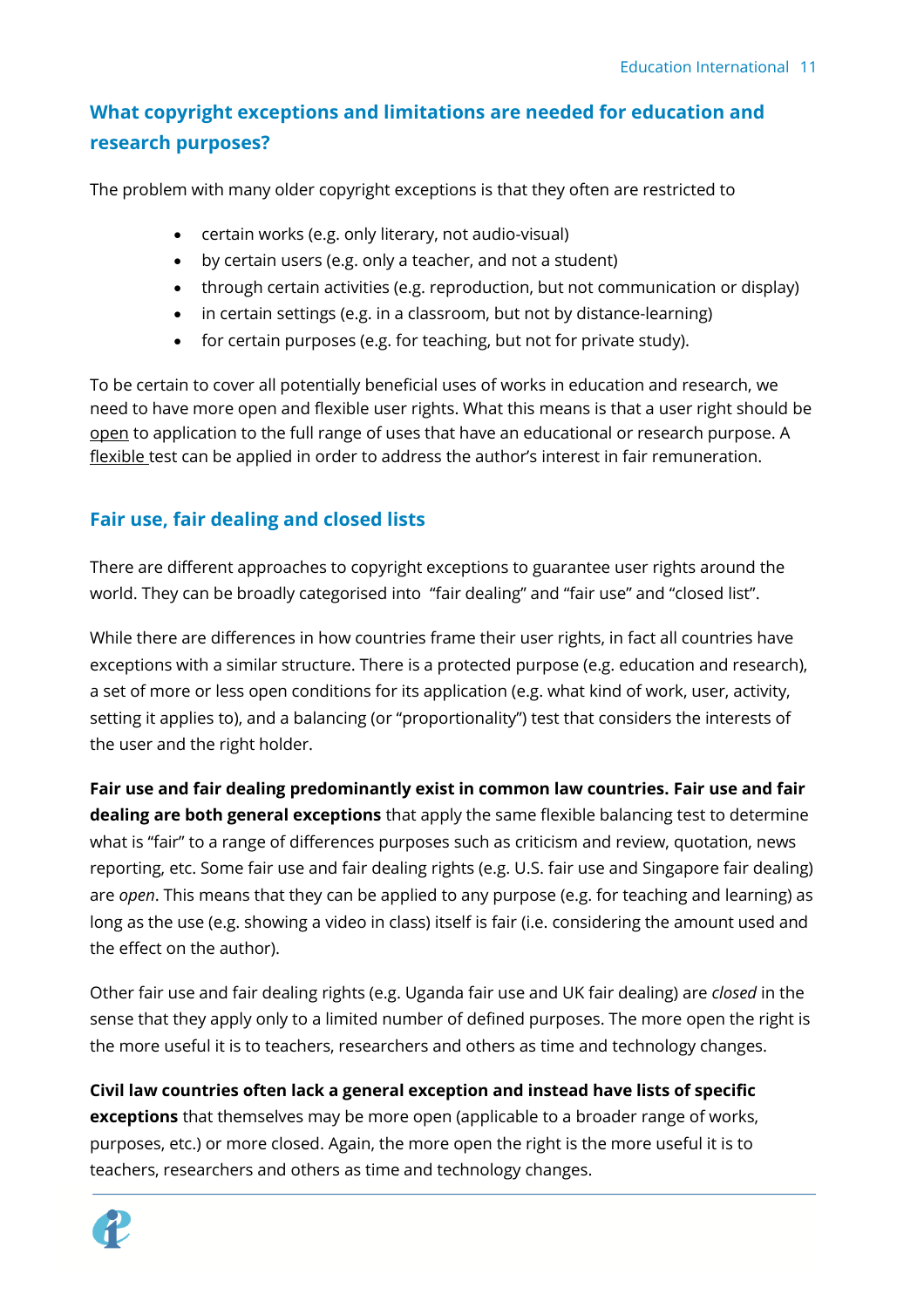# <span id="page-10-0"></span>**What copyright exceptions and limitations are needed for education and research purposes?**

The problem with many older copyright exceptions is that they often are restricted to

- certain works (e.g. only literary, not audio-visual)
- by certain users (e.g. only a teacher, and not a student)
- through certain activities (e.g. reproduction, but not communication or display)
- in certain settings (e.g. in a classroom, but not by distance-learning)
- for certain purposes (e.g. for teaching, but not for private study).

To be certain to cover all potentially beneficial uses of works in education and research, we need to have more open and flexible user rights. What this means is that a user right should be open to application to the full range of uses that have an educational or research purpose. A flexible test can be applied in order to address the author's interest in fair remuneration.

## <span id="page-10-1"></span>**Fair use, fair dealing and closed lists**

There are different approaches to copyright exceptions to guarantee user rights around the world. They can be broadly categorised into "fair dealing" and "fair use" and "closed list".

While there are differences in how countries frame their user rights, in fact all countries have exceptions with a similar structure. There is a protected purpose (e.g. education and research), a set of more or less open conditions for its application (e.g. what kind of work, user, activity, setting it applies to), and a balancing (or "proportionality") test that considers the interests of the user and the right holder.

**Fair use and fair dealing predominantly exist in common law countries. Fair use and fair dealing are both general exceptions** that apply the same flexible balancing test to determine what is "fair" to a range of differences purposes such as criticism and review, quotation, news reporting, etc. Some fair use and fair dealing rights (e.g. U.S. fair use and Singapore fair dealing) are *open*. This means that they can be applied to any purpose (e.g. for teaching and learning) as long as the use (e.g. showing a video in class) itself is fair (i.e. considering the amount used and the effect on the author).

Other fair use and fair dealing rights (e.g. Uganda fair use and UK fair dealing) are *closed* in the sense that they apply only to a limited number of defined purposes. The more open the right is the more useful it is to teachers, researchers and others as time and technology changes.

**Civil law countries often lack a general exception and instead have lists of specific exceptions** that themselves may be more open (applicable to a broader range of works, purposes, etc.) or more closed. Again, the more open the right is the more useful it is to teachers, researchers and others as time and technology changes.

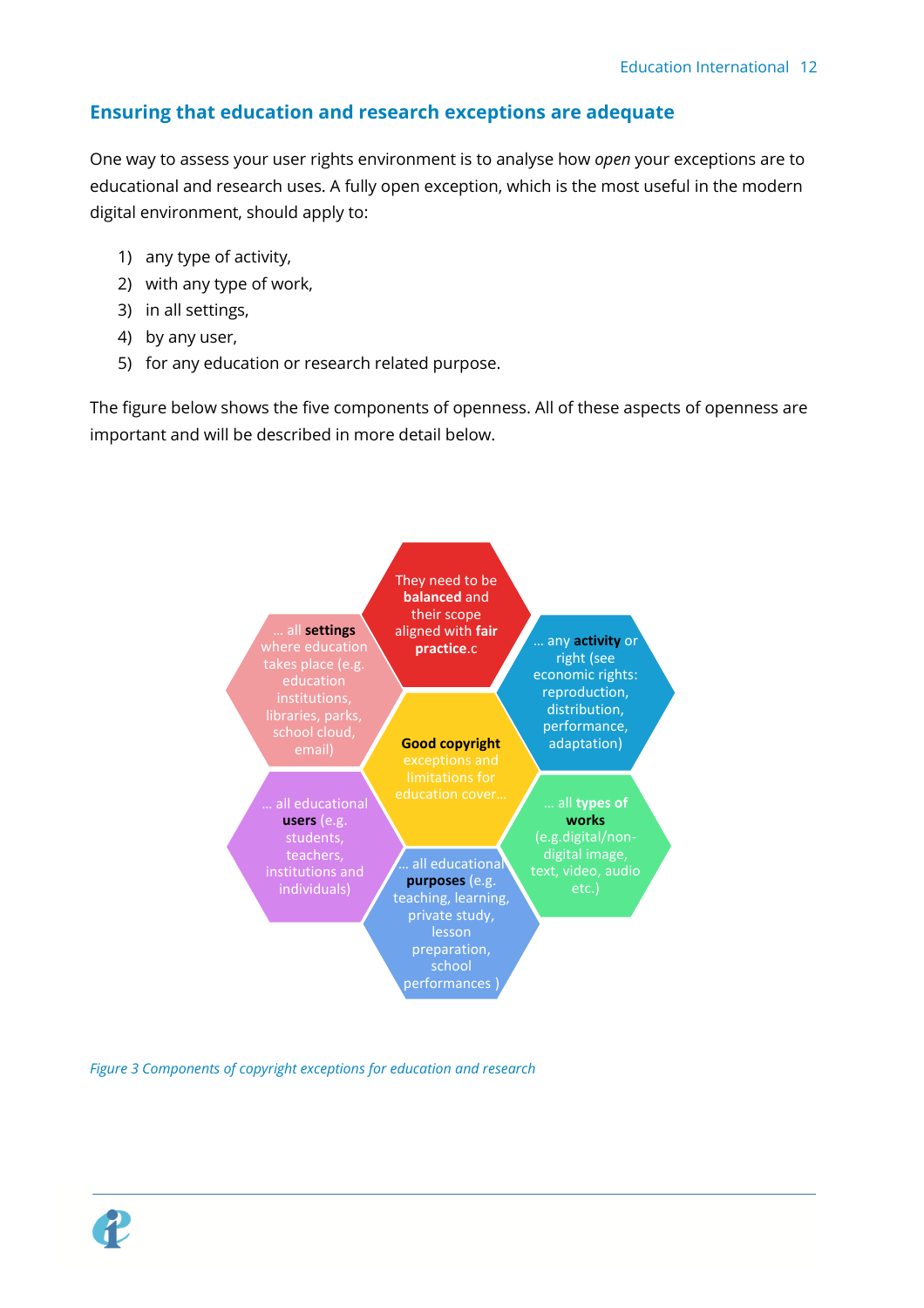# <span id="page-11-0"></span>**Ensuring that education and research exceptions are adequate**

One way to assess your user rights environment is to analyse how *open* your exceptions are to educational and research uses. A fully open exception, which is the most useful in the modern digital environment, should apply to:

- 1) any type of activity,
- 2) with any type of work,
- 3) in all settings,
- 4) by any user,
- 5) for any education or research related purpose.

The figure below shows the five components of openness. All of these aspects of openness are important and will be described in more detail below.



*Figure 3 Components of copyright exceptions for education and research*

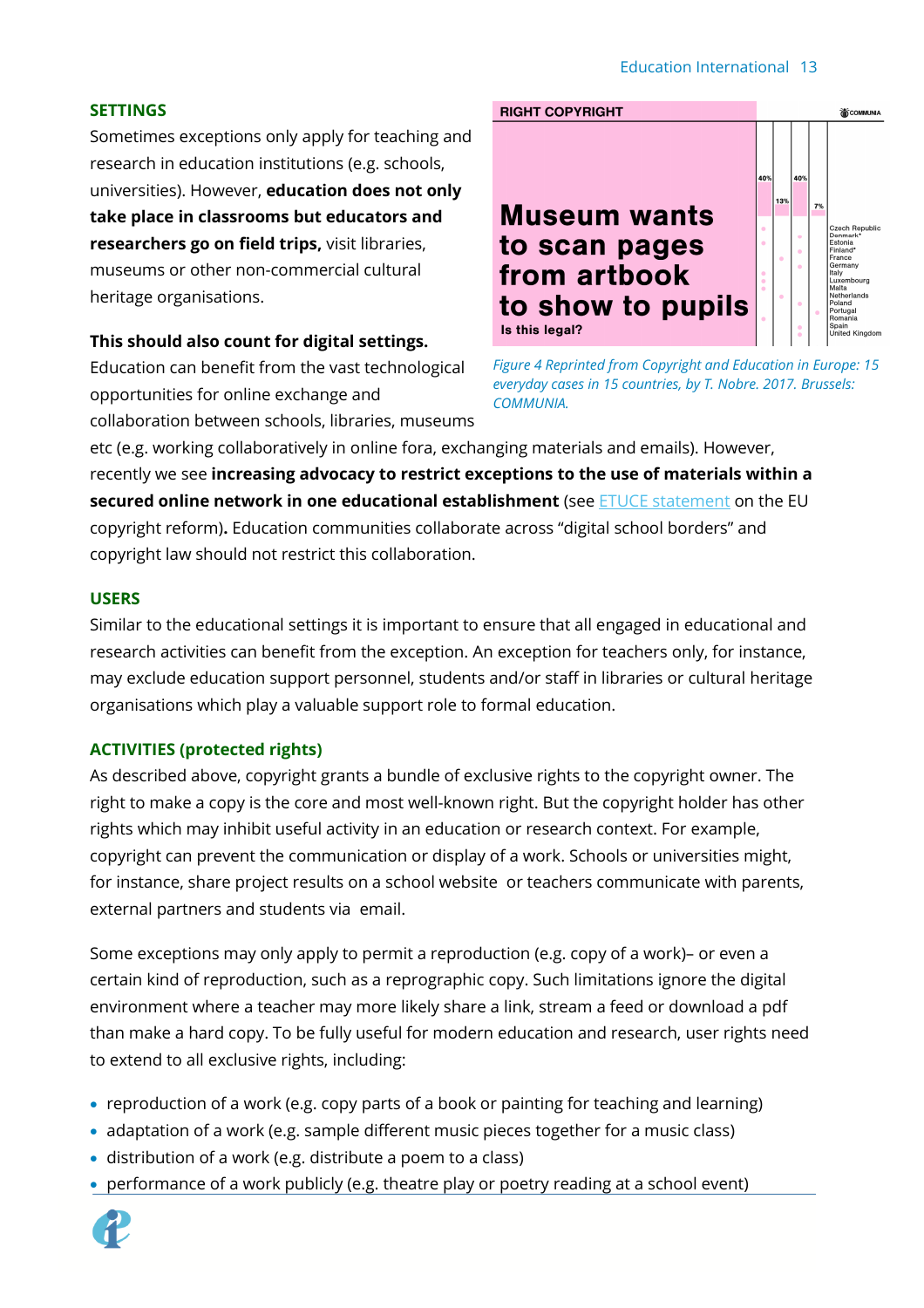#### Education International 13

#### **SETTINGS**

Sometimes exceptions only apply for teaching and research in education institutions (e.g. schools, universities). However, **education does not only take place in classrooms but educators and researchers go on field trips,** visit libraries, museums or other non-commercial cultural heritage organisations.

#### **This should also count for digital settings.**

Education can benefit from the vast technological opportunities for online exchange and collaboration between schools, libraries, museums



*Figure 4 Reprinted from Copyright and Education in Europe: 15 everyday cases in 15 countries, by T. Nobre. 2017. Brussels: COMMUNIA.*

etc (e.g. working collaboratively in online fora, exchanging materials and emails). However, recently we see **increasing advocacy to restrict exceptions to the use of materials within a secured online network in one educational establishment** (se[e ETUCE statement](https://www.csee-etuce.org/en/news/archive/2657-etuce-urges-the-european-parliament-to-vote-in-favour-of-an-open-broad-and-flexible-eu-copyright-education-exception?highlight=WyJjb3B5cmlnaHQiXQ==) on the EU copyright reform)**.** Education communities collaborate across "digital school borders" and copyright law should not restrict this collaboration.

#### **USERS**

Similar to the educational settings it is important to ensure that all engaged in educational and research activities can benefit from the exception. An exception for teachers only, for instance, may exclude education support personnel, students and/or staff in libraries or cultural heritage organisations which play a valuable support role to formal education.

#### **ACTIVITIES (protected rights)**

As described above, copyright grants a bundle of exclusive rights to the copyright owner. The right to make a copy is the core and most well-known right. But the copyright holder has other rights which may inhibit useful activity in an education or research context. For example, copyright can prevent the communication or display of a work. Schools or universities might, for instance, share project results on a school website or teachers communicate with parents, external partners and students via email.

Some exceptions may only apply to permit a reproduction (e.g. copy of a work)– or even a certain kind of reproduction, such as a reprographic copy. Such limitations ignore the digital environment where a teacher may more likely share a link, stream a feed or download a pdf than make a hard copy. To be fully useful for modern education and research, user rights need to extend to all exclusive rights, including:

- reproduction of a work (e.g. copy parts of a book or painting for teaching and learning)
- adaptation of a work (e.g. sample different music pieces together for a music class)
- distribution of a work (e.g. distribute a poem to a class)
- performance of a work publicly (e.g. theatre play or poetry reading at a school event)

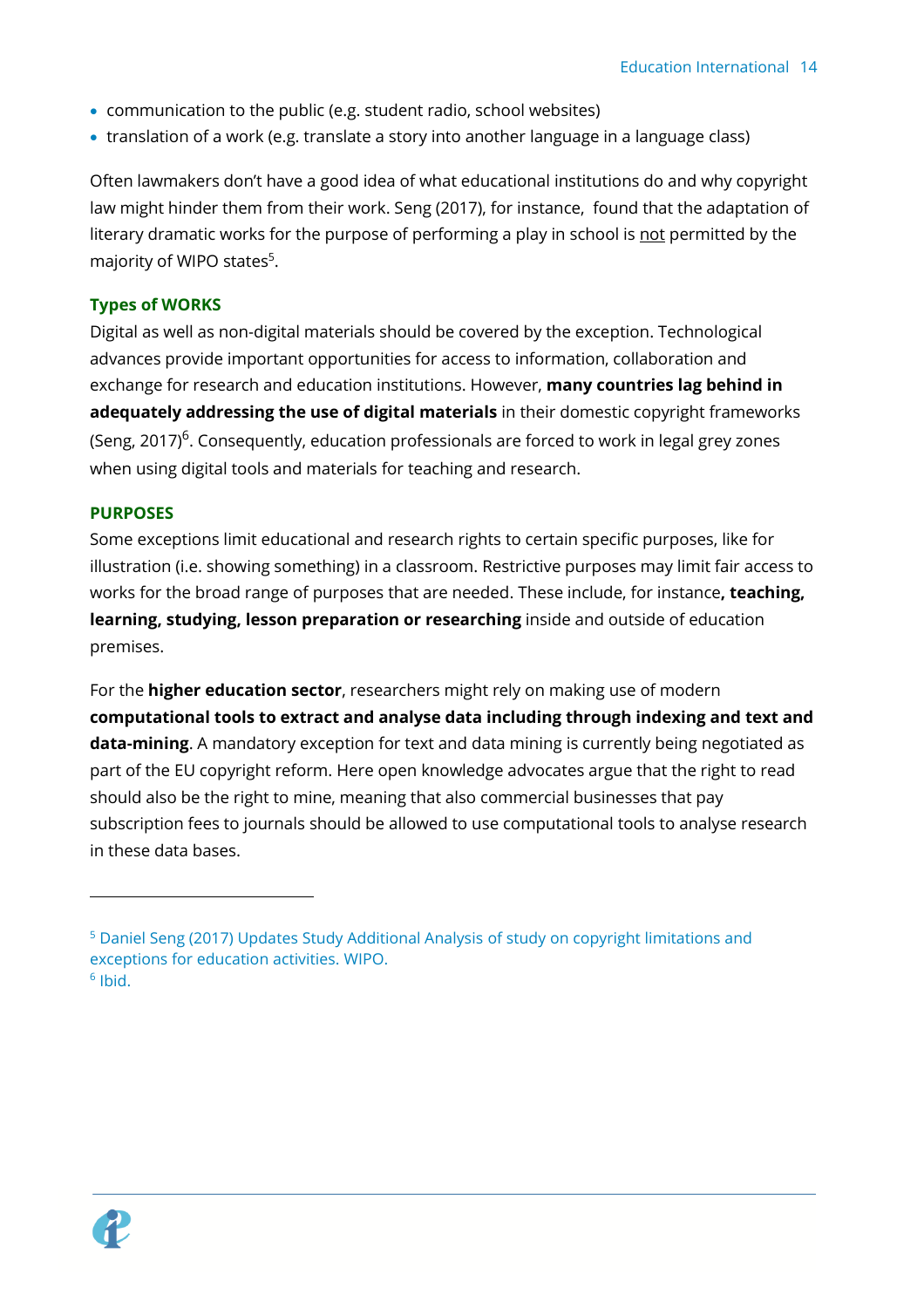- communication to the public (e.g. student radio, school websites)
- translation of a work (e.g. translate a story into another language in a language class)

Often lawmakers don't have a good idea of what educational institutions do and why copyright law might hinder them from their work. Seng (2017), for instance, found that the adaptation of literary dramatic works for the purpose of performing a play in school is not permitted by the majority of WIPO states<sup>5</sup>.

#### **Types of WORKS**

Digital as well as non-digital materials should be covered by the exception. Technological advances provide important opportunities for access to information, collaboration and exchange for research and education institutions. However, **many countries lag behind in adequately addressing the use of digital materials** in their domestic copyright frameworks (Seng, 2017) $^6$ . Consequently, education professionals are forced to work in legal grey zones when using digital tools and materials for teaching and research.

#### **PURPOSES**

Some exceptions limit educational and research rights to certain specific purposes, like for illustration (i.e. showing something) in a classroom. Restrictive purposes may limit fair access to works for the broad range of purposes that are needed. These include, for instance**, teaching, learning, studying, lesson preparation or researching** inside and outside of education premises.

For the **higher education sector**, researchers might rely on making use of modern **computational tools to extract and analyse data including through indexing and text and data-mining**. A mandatory exception for text and data mining is currently being negotiated as part of the EU copyright reform. Here open knowledge advocates argue that the right to read should also be the right to mine, meaning that also commercial businesses that pay subscription fees to journals should be allowed to use computational tools to analyse research in these data bases.



<sup>5</sup> Daniel Seng (2017) Updates Study Additional Analysis of study on copyright limitations and exceptions for education activities. WIPO. 6 Ibid.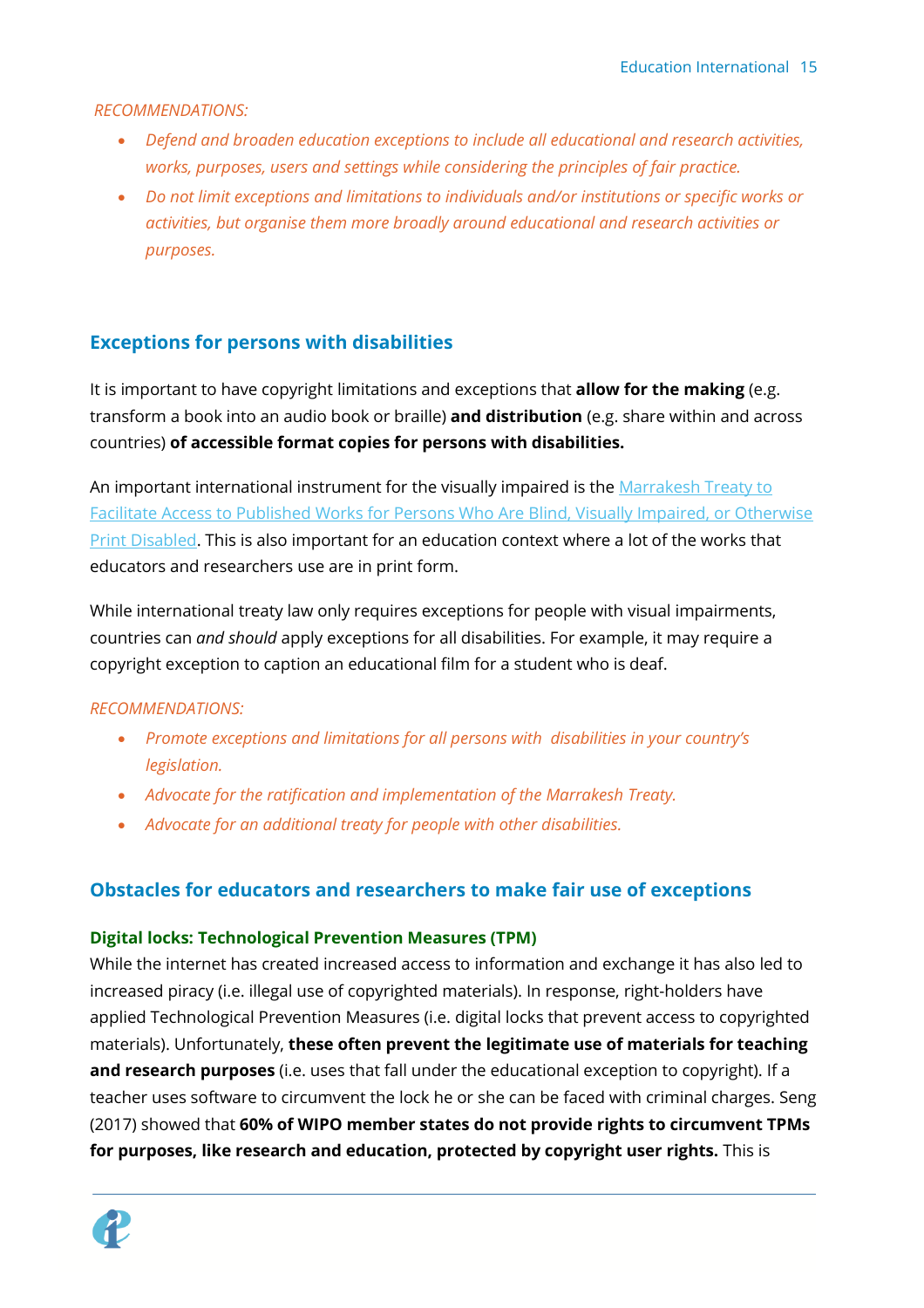*RECOMMENDATIONS:*

- *Defend and broaden education exceptions to include all educational and research activities, works, purposes, users and settings while considering the principles of fair practice.*
- *Do not limit exceptions and limitations to individuals and/or institutions or specific works or activities, but organise them more broadly around educational and research activities or purposes.*

## <span id="page-14-0"></span>**Exceptions for persons with disabilities**

It is important to have copyright limitations and exceptions that **allow for the making** (e.g. transform a book into an audio book or braille) **and distribution** (e.g. share within and across countries) **of accessible format copies for persons with disabilities.** 

An important international instrument for the visually impaired is the Marrakesh Treaty to [Facilitate Access to Published Works for Persons Who Are Blind, Visually Impaired, or Otherwise](https://www.wipo.int/treaties/en/ip/marrakesh/)  [Print Disabled.](https://www.wipo.int/treaties/en/ip/marrakesh/) This is also important for an education context where a lot of the works that educators and researchers use are in print form.

While international treaty law only requires exceptions for people with visual impairments, countries can *and should* apply exceptions for all disabilities. For example, it may require a copyright exception to caption an educational film for a student who is deaf.

#### *RECOMMENDATIONS:*

- *Promote exceptions and limitations for all persons with disabilities in your country's legislation.*
- *Advocate for the ratification and implementation of the Marrakesh Treaty.*
- *Advocate for an additional treaty for people with other disabilities.*

## <span id="page-14-1"></span>**Obstacles for educators and researchers to make fair use of exceptions**

#### **Digital locks: Technological Prevention Measures (TPM)**

While the internet has created increased access to information and exchange it has also led to increased piracy (i.e. illegal use of copyrighted materials). In response, right-holders have applied Technological Prevention Measures (i.e. digital locks that prevent access to copyrighted materials). Unfortunately, **these often prevent the legitimate use of materials for teaching and research purposes** (i.e. uses that fall under the educational exception to copyright). If a teacher uses software to circumvent the lock he or she can be faced with criminal charges. Seng (2017) showed that **60% of WIPO member states do not provide rights to circumvent TPMs for purposes, like research and education, protected by copyright user rights.** This is

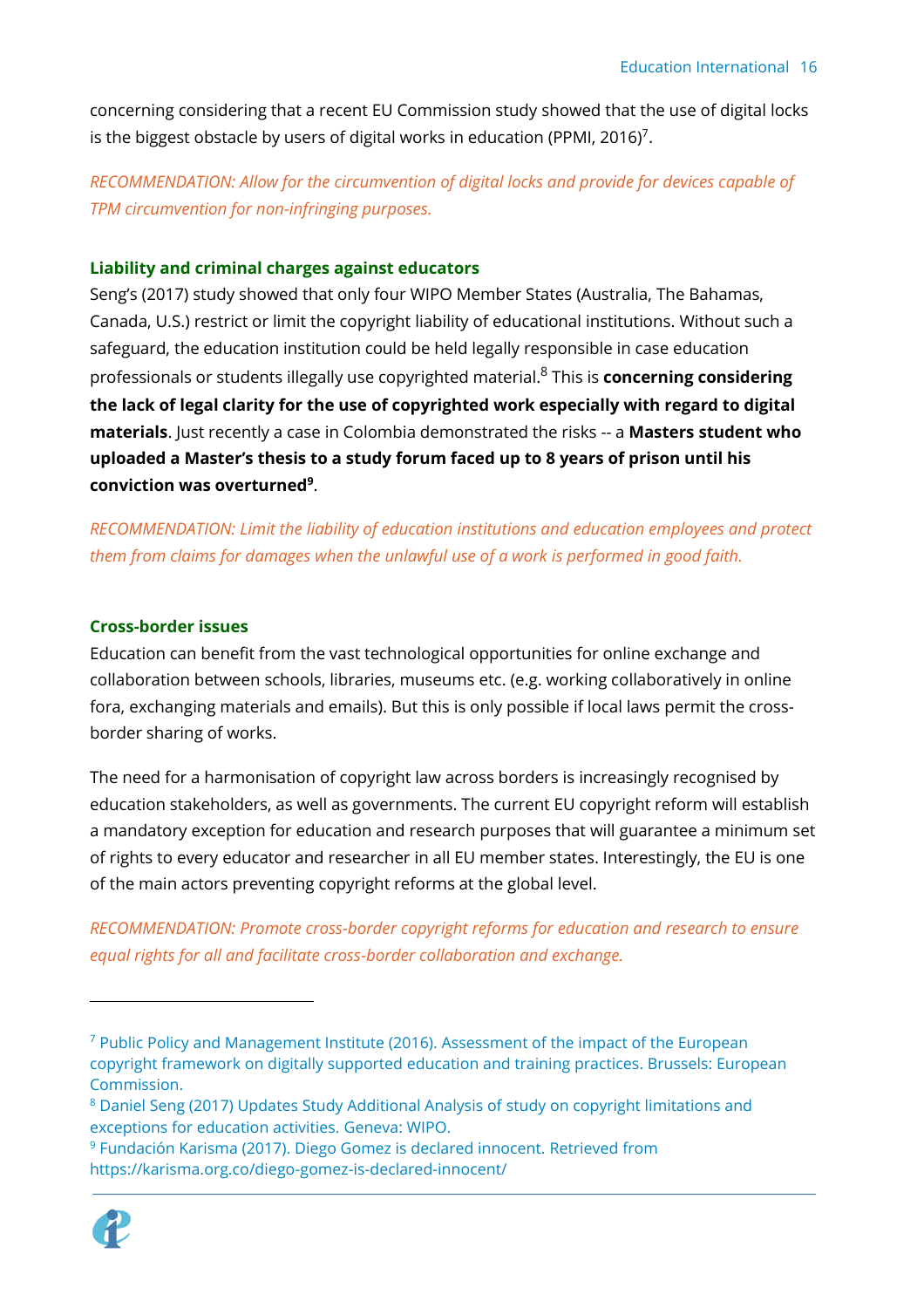concerning considering that a recent [EU Commission study](https://publications.europa.eu/en/publication-detail/-/publication/1ba3488e-1d01-4055-b49c-fdb35f3babc8/language-en) showed that the use of digital locks is the biggest obstacle by users of digital works in education (PPMI, 2016) $^7\!.$ 

*RECOMMENDATION: Allow for the circumvention of digital locks and provide for devices capable of TPM circumvention for non-infringing purposes.*

#### **Liability and criminal charges against educators**

Seng's (2017) study showed that only four WIPO Member States (Australia, The Bahamas, Canada, U.S.) restrict or limit the copyright liability of educational institutions. Without such a safeguard, the education institution could be held legally responsible in case education professionals or students illegally use copyrighted material.<sup>8</sup> This is **concerning considering the lack of legal clarity for the use of copyrighted work especially with regard to digital materials**. Just recently a case in Colombia demonstrated the risks -- a **Masters student who uploaded a Master's thesis to a study forum faced up to 8 years of prison until his conviction was overturned<sup>9</sup>** .

*RECOMMENDATION: Limit the liability of education institutions and education employees and protect them from claims for damages when the unlawful use of a work is performed in good faith.*

#### **Cross-border issues**

Education can benefit from the vast technological opportunities for online exchange and collaboration between schools, libraries, museums etc. (e.g. working collaboratively in online fora, exchanging materials and emails). But this is only possible if local laws permit the crossborder sharing of works.

The need for a harmonisation of copyright law across borders is increasingly recognised by education stakeholders, as well as governments. The current EU copyright reform will establish a mandatory exception for education and research purposes that will guarantee a minimum set of rights to every educator and researcher in all EU member states. Interestingly, the EU is one of the main actors preventing copyright reforms at the global level.

*RECOMMENDATION: Promote cross-border copyright reforms for education and research to ensure equal rights for all and facilitate cross-border collaboration and exchange.* 

<sup>9</sup> Fundación Karisma (2017). Diego Gomez is declared innocent. Retrieved from https://karisma.org.co/diego-gomez-is-declared-innocent/



<sup>&</sup>lt;sup>7</sup> Public Policy and Management Institute (2016). Assessment of the impact of the European copyright framework on digitally supported education and training practices. Brussels: European Commission.

<sup>8</sup> Daniel Seng (2017) Updates Study Additional Analysis of study on copyright limitations and exceptions for education activities. Geneva: WIPO.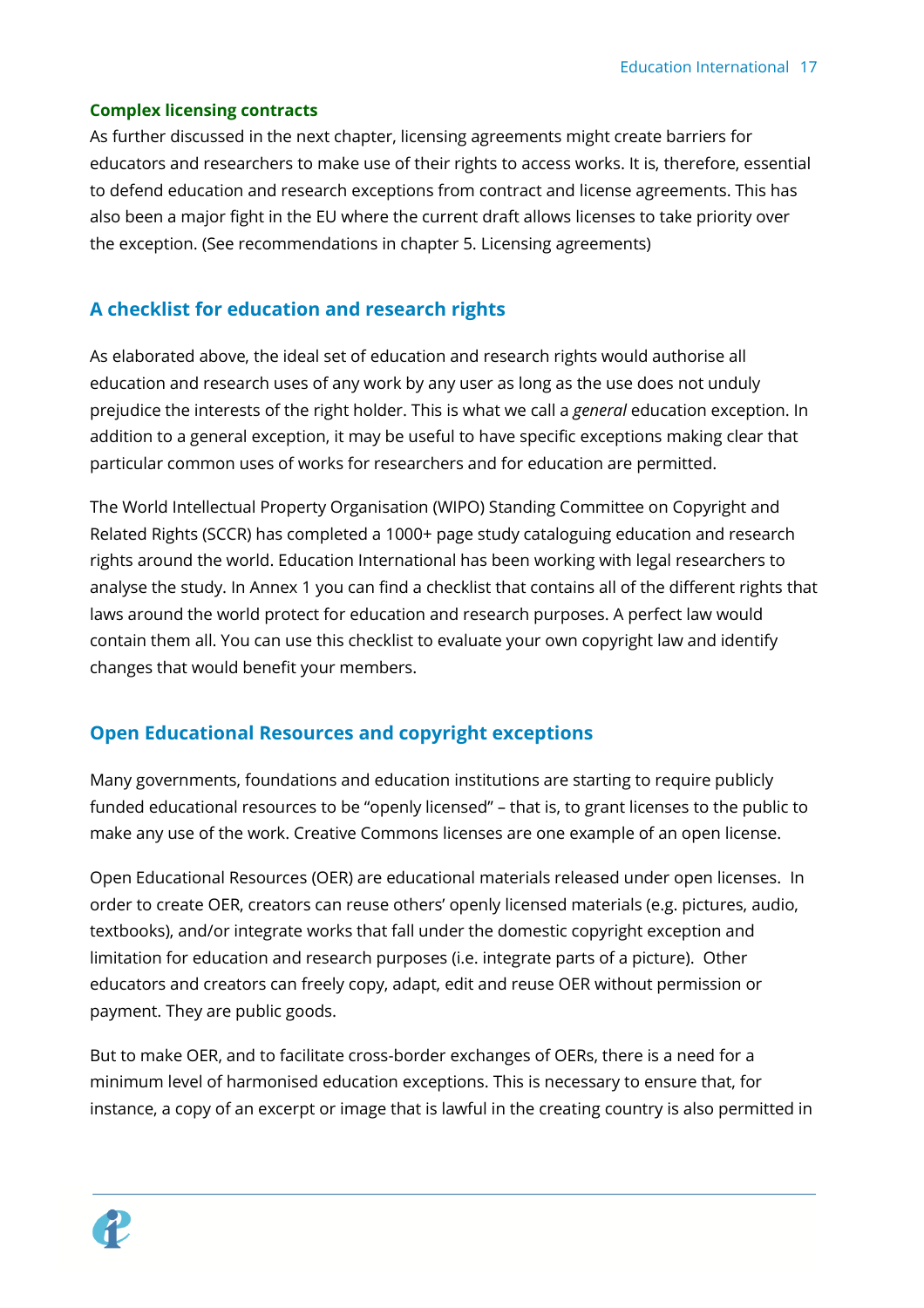#### **Complex licensing contracts**

As further discussed in the next chapter, licensing agreements might create barriers for educators and researchers to make use of their rights to access works. It is, therefore, essential to defend education and research exceptions from contract and license agreements. This has also been a major fight in the EU where the current draft allows licenses to take priority over the exception. (See recommendations in chapter 5. Licensing agreements)

## <span id="page-16-0"></span>**A checklist for education and research rights**

As elaborated above, the ideal set of education and research rights would authorise all education and research uses of any work by any user as long as the use does not unduly prejudice the interests of the right holder. This is what we call a *general* education exception. In addition to a general exception, it may be useful to have specific exceptions making clear that particular common uses of works for researchers and for education are permitted.

The World Intellectual Property Organisation (WIPO) Standing Committee on Copyright and Related Rights (SCCR) has completed a 1000+ page study cataloguing education and research rights around the world. Education International has been working with legal researchers to analyse the study. In Annex 1 you can find a checklist that contains all of the different rights that laws around the world protect for education and research purposes. A perfect law would contain them all. You can use this checklist to evaluate your own copyright law and identify changes that would benefit your members.

### <span id="page-16-1"></span>**Open Educational Resources and copyright exceptions**

Many governments, foundations and education institutions are starting to require publicly funded educational resources to be "openly licensed" – that is, to grant licenses to the public to make any use of the work. Creative Commons licenses are one example of an open license.

Open Educational Resources (OER) are educational materials released under open licenses. In order to create OER, creators can reuse others' openly licensed materials (e.g. pictures, audio, textbooks), and/or integrate works that fall under the domestic copyright exception and limitation for education and research purposes (i.e. integrate parts of a picture). Other educators and creators can freely copy, adapt, edit and reuse OER without permission or payment. They are public goods.

But to make OER, and to facilitate cross-border exchanges of OERs, there is a need for a minimum level of harmonised education exceptions. This is necessary to ensure that, for instance, a copy of an excerpt or image that is lawful in the creating country is also permitted in

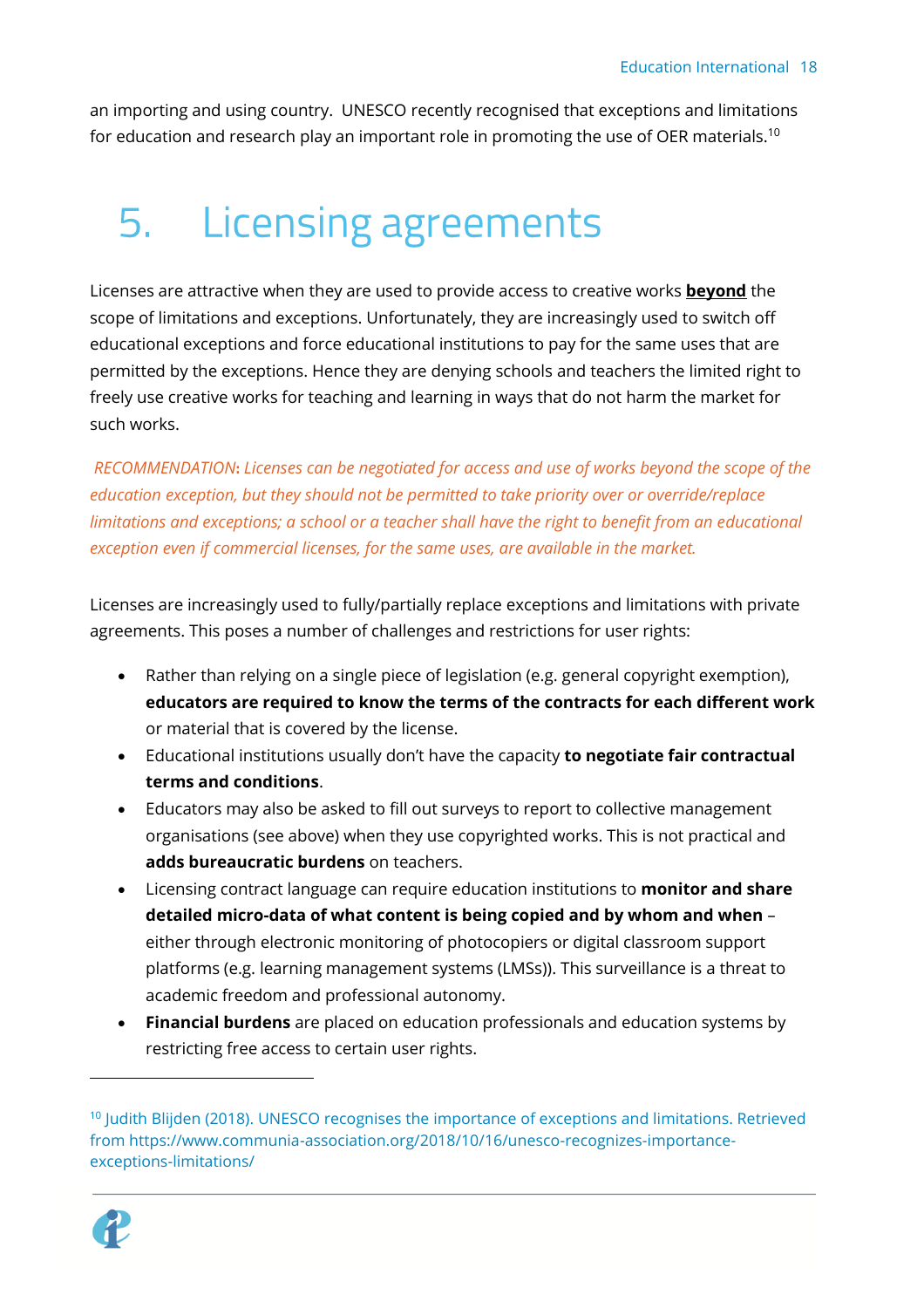an importing and using country. UNESCO recently recognised that exceptions and limitations for education and research play an important role in promoting the use of OER materials. $^{\rm 10}$ 

# <span id="page-17-0"></span>5. Licensing agreements

Licenses are attractive when they are used to provide access to creative works **beyond** the scope of limitations and exceptions. Unfortunately, they are increasingly used to switch off educational exceptions and force educational institutions to pay for the same uses that are permitted by the exceptions. Hence they are denying schools and teachers the limited right to freely use creative works for teaching and learning in ways that do not harm the market for such works.

*RECOMMENDATION***:** *Licenses can be negotiated for access and use of works beyond the scope of the education exception, but they should not be permitted to take priority over or override/replace limitations and exceptions; a school or a teacher shall have the right to benefit from an educational exception even if commercial licenses, for the same uses, are available in the market.*

Licenses are increasingly used to fully/partially replace exceptions and limitations with private agreements. This poses a number of challenges and restrictions for user rights:

- Rather than relying on a single piece of legislation (e.g. general copyright exemption), **educators are required to know the terms of the contracts for each different work** or material that is covered by the license.
- Educational institutions usually don't have the capacity **to negotiate fair contractual terms and conditions**.
- Educators may also be asked to fill out surveys to report to collective management organisations (see above) when they use copyrighted works. This is not practical and **adds bureaucratic burdens** on teachers.
- Licensing contract language can require education institutions to **monitor and share detailed micro-data of what content is being copied and by whom and when** – either through electronic monitoring of photocopiers or digital classroom support platforms (e.g. learning management systems (LMSs)). This surveillance is a threat to academic freedom and professional autonomy.
- **Financial burdens** are placed on education professionals and education systems by restricting free access to certain user rights.

<sup>&</sup>lt;sup>10</sup> Judith Blijden (2018). UNESCO recognises the importance of exceptions and limitations. Retrieved from https://www.communia-association.org/2018/10/16/unesco-recognizes-importanceexceptions-limitations/

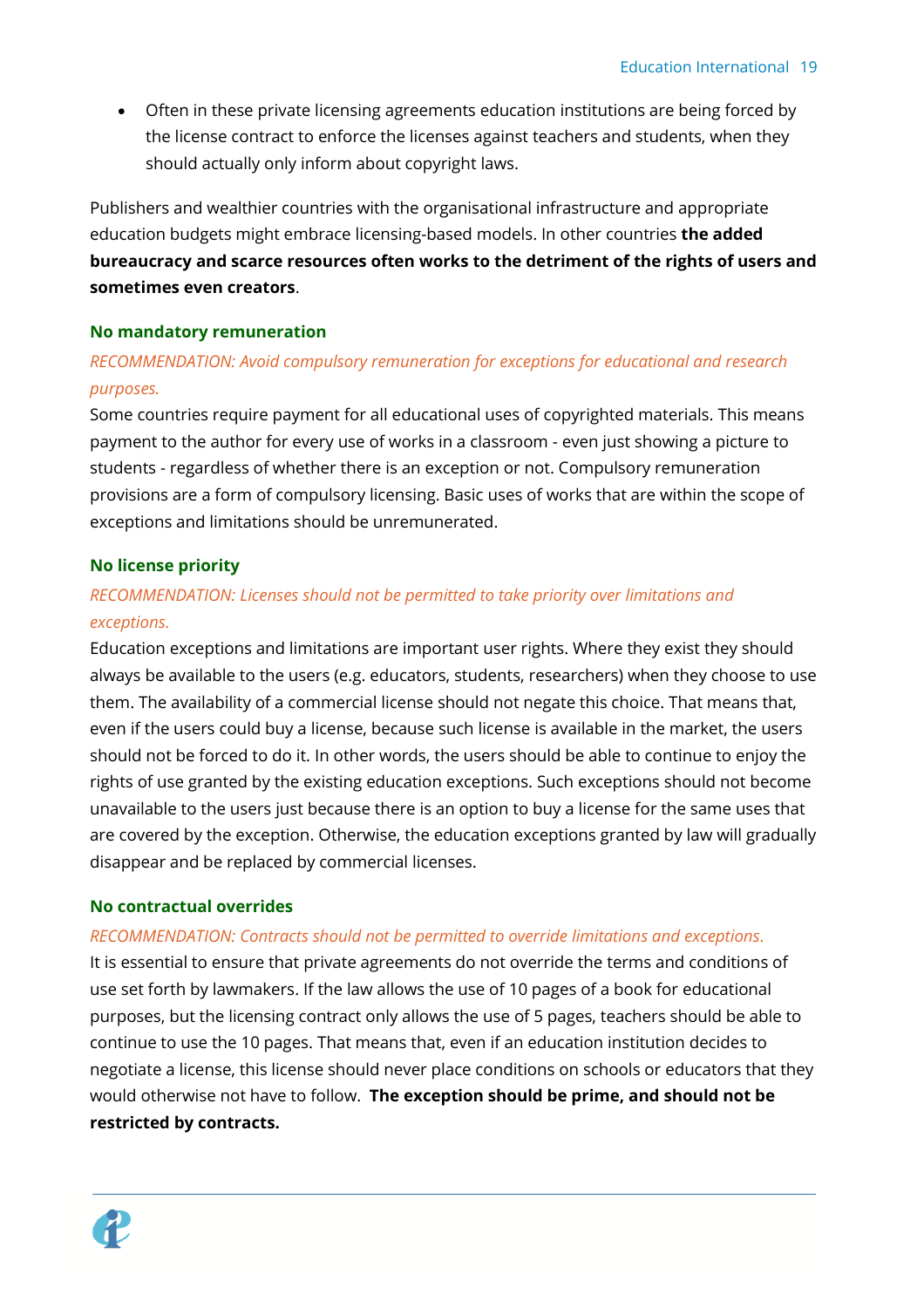• Often in these private licensing agreements education institutions are being forced by the license contract to enforce the licenses against teachers and students, when they should actually only inform about copyright laws.

Publishers and wealthier countries with the organisational infrastructure and appropriate education budgets might embrace licensing-based models. In other countries **the added bureaucracy and scarce resources often works to the detriment of the rights of users and sometimes even creators**.

#### **No mandatory remuneration**

### *RECOMMENDATION: Avoid compulsory remuneration for exceptions for educational and research purposes.*

Some countries require payment for all educational uses of copyrighted materials. This means payment to the author for every use of works in a classroom - even just showing a picture to students - regardless of whether there is an exception or not. Compulsory remuneration provisions are a form of compulsory licensing. Basic uses of works that are within the scope of exceptions and limitations should be unremunerated.

#### **No license priority**

## *RECOMMENDATION: Licenses should not be permitted to take priority over limitations and exceptions.*

Education exceptions and limitations are important user rights. Where they exist they should always be available to the users (e.g. educators, students, researchers) when they choose to use them. The availability of a commercial license should not negate this choice. That means that, even if the users could buy a license, because such license is available in the market, the users should not be forced to do it. In other words, the users should be able to continue to enjoy the rights of use granted by the existing education exceptions. Such exceptions should not become unavailable to the users just because there is an option to buy a license for the same uses that are covered by the exception. Otherwise, the education exceptions granted by law will gradually disappear and be replaced by commercial licenses.

#### **No contractual overrides**

#### *RECOMMENDATION: Contracts should not be permitted to override limitations and exceptions.*

It is essential to ensure that private agreements do not override the terms and conditions of use set forth by lawmakers. If the law allows the use of 10 pages of a book for educational purposes, but the licensing contract only allows the use of 5 pages, teachers should be able to continue to use the 10 pages. That means that, even if an education institution decides to negotiate a license, this license should never place conditions on schools or educators that they would otherwise not have to follow. **The exception should be prime, and should not be restricted by contracts.**

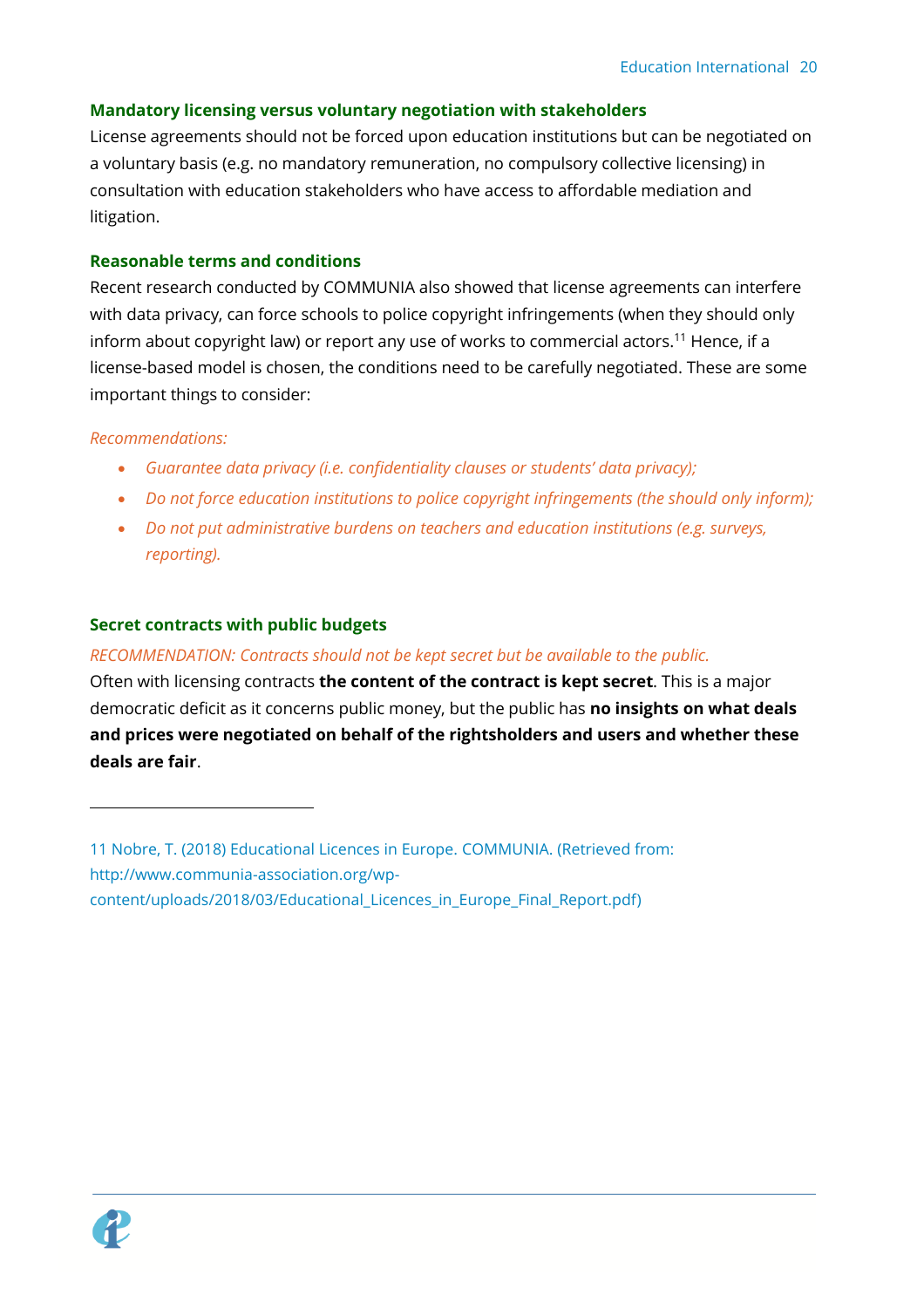#### **Mandatory licensing versus voluntary negotiation with stakeholders**

License agreements should not be forced upon education institutions but can be negotiated on a voluntary basis (e.g. no mandatory remuneration, no compulsory collective licensing) in consultation with education stakeholders who have access to affordable mediation and litigation.

#### **Reasonable terms and conditions**

Recent research conducted by COMMUNIA also showed that license agreements can interfere with data privacy, can force schools to police copyright infringements (when they should only inform about copyright law) or report any use of works to commercial actors.<sup>11</sup> Hence, if a license-based model is chosen, the conditions need to be carefully negotiated. These are some important things to consider:

#### *Recommendations:*

- *Guarantee data privacy (i.e. confidentiality clauses or students' data privacy);*
- *Do not force education institutions to police copyright infringements (the should only inform);*
- *Do not put administrative burdens on teachers and education institutions (e.g. surveys, reporting).*

#### **Secret contracts with public budgets**

#### *RECOMMENDATION: Contracts should not be kept secret but be available to the public.*

Often with licensing contracts **the content of the contract is kept secret**. This is a major democratic deficit as it concerns public money, but the public has **no insights on what deals and prices were negotiated on behalf of the rightsholders and users and whether these deals are fair**.



<sup>11</sup> Nobre, T. (2018) Educational Licences in Europe. COMMUNIA. (Retrieved from: http://www.communia-association.org/wpcontent/uploads/2018/03/Educational\_Licences\_in\_Europe\_Final\_Report.pdf)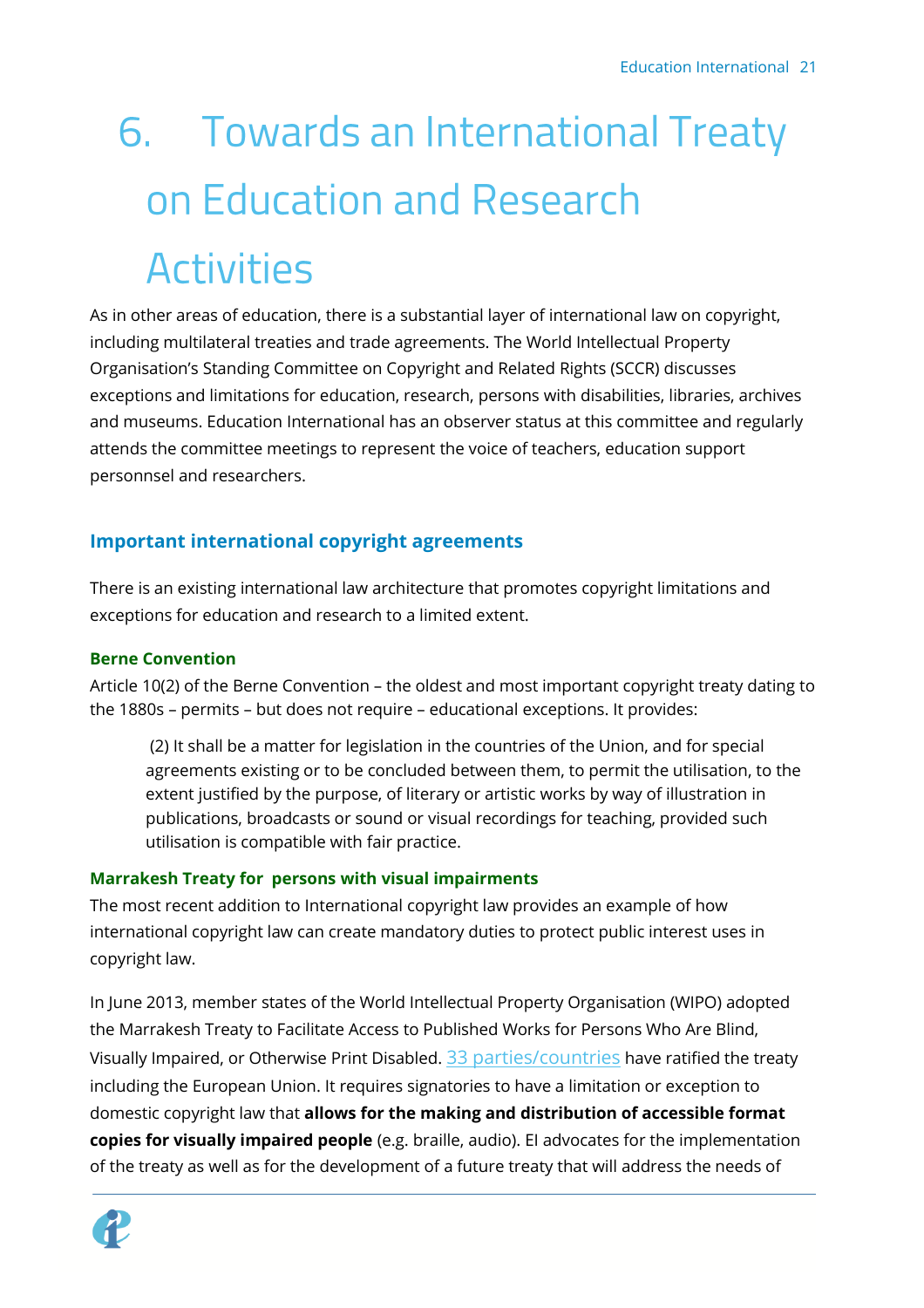# 6. Towards an International Treaty on Education and Research **Activities**

As in other areas of education, there is a substantial layer of international law on copyright, including multilateral treaties and trade agreements. The World Intellectual Property Organisation's Standing Committee on Copyright and Related Rights (SCCR) discusses exceptions and limitations for education, research, persons with disabilities, libraries, archives and museums. Education International has an observer status at this committee and regularly attends the committee meetings to represent the voice of teachers, education support personnsel and researchers.

# <span id="page-20-0"></span>**Important international copyright agreements**

There is an existing international law architecture that promotes copyright limitations and exceptions for education and research to a limited extent.

## **Berne Convention**

Article 10(2) of the Berne Convention – the oldest and most important copyright treaty dating to the 1880s – permits – but does not require – educational exceptions. It provides:

(2) It shall be a matter for legislation in the countries of the Union, and for special agreements existing or to be concluded between them, to permit the utilisation, to the extent justified by the purpose, of literary or artistic works by way of illustration in publications, broadcasts or sound or visual recordings for teaching, provided such utilisation is compatible with fair practice.

## **Marrakesh Treaty for persons with visual impairments**

The most recent addition to International copyright law provides an example of how international copyright law can create mandatory duties to protect public interest uses in copyright law.

In June 2013, member states of the World Intellectual Property Organisation (WIPO) adopted the Marrakesh Treaty to Facilitate Access to Published Works for Persons Who Are Blind, Visually Impaired, or Otherwise Print Disabled. [33 parties/countries](http://www.wipo.int/treaties/en/ShowResults.jsp?treaty_id=843) have ratified the treaty including the European Union. It requires signatories to have a limitation or exception to domestic copyright law that **allows for the making and distribution of accessible format copies for visually impaired people** (e.g. braille, audio). EI advocates for the implementation of the treaty as well as for the development of a future treaty that will address the needs of

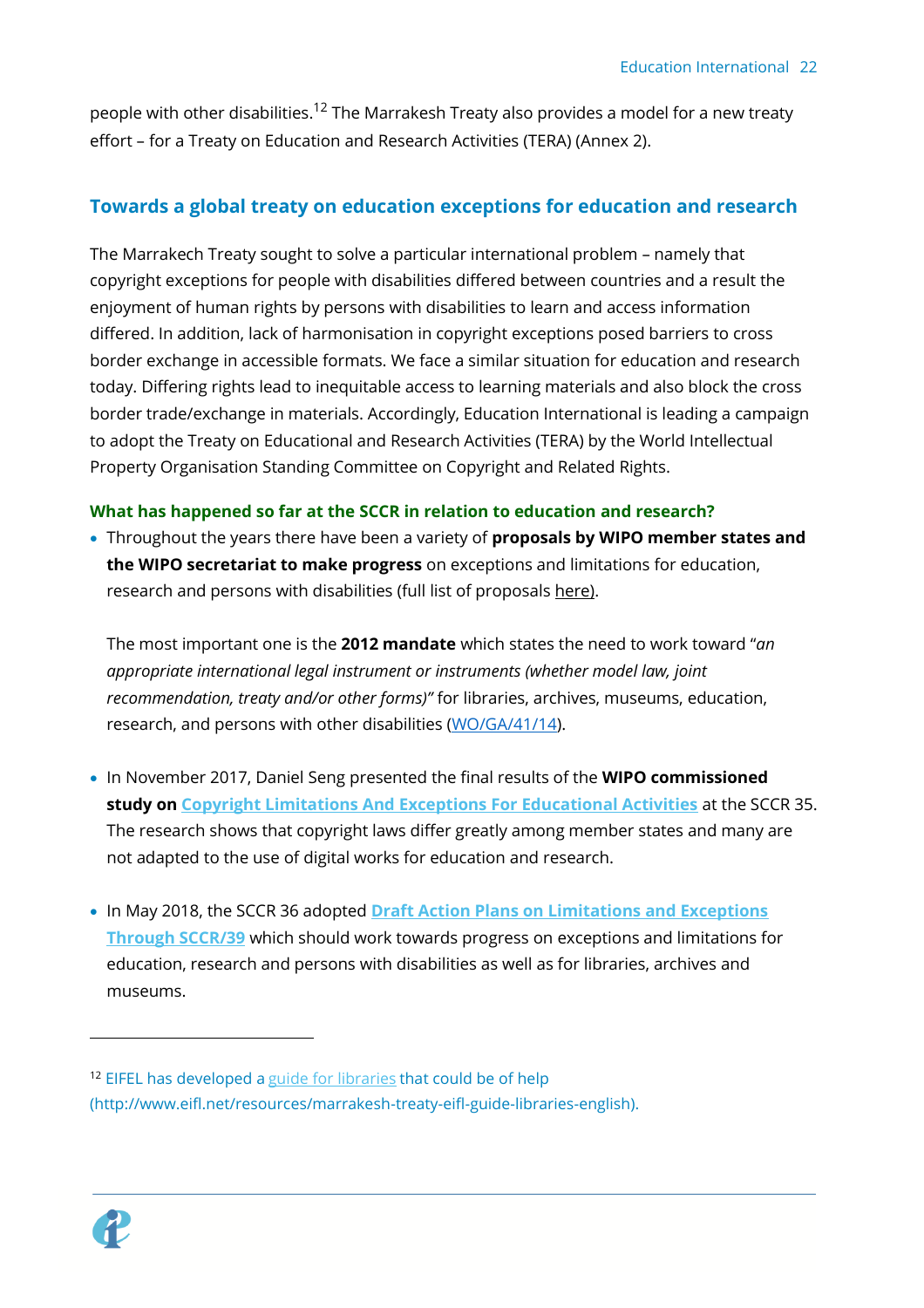people with other disabilities.<sup>12</sup> The Marrakesh Treaty also provides a model for a new treaty effort – for a Treaty on Education and Research Activities (TERA) (Annex 2).

## <span id="page-21-0"></span>**Towards a global treaty on education exceptions for education and research**

The Marrakech Treaty sought to solve a particular international problem – namely that copyright exceptions for people with disabilities differed between countries and a result the enjoyment of human rights by persons with disabilities to learn and access information differed. In addition, lack of harmonisation in copyright exceptions posed barriers to cross border exchange in accessible formats. We face a similar situation for education and research today. Differing rights lead to inequitable access to learning materials and also block the cross border trade/exchange in materials. Accordingly, Education International is leading a campaign to adopt the Treaty on Educational and Research Activities (TERA) by the World Intellectual Property Organisation Standing Committee on Copyright and Related Rights.

### **What has happened so far at the SCCR in relation to education and research?**

• Throughout the years there have been a variety of **proposals by WIPO member states and the WIPO secretariat to make progress** on exceptions and limitations for education, research and persons with disabilities (full list of proposals [here\)](https://eiie.sharepoint.com/:w:/s/ResearchPublicLinks/Edq4x6gW_0tJjkmh21B0TMgBglQa7zu9jb395ndtzSELsg?e=AMDVTc).

The most important one is the **2012 mandate** which states the need to work toward "*an appropriate international legal instrument or instruments (whether model law, joint recommendation, treaty and/or other forms)"* for libraries, archives, museums, education, research, and persons with other disabilities [\(WO/GA/41/14\)](http://www.wipo.int/edocs/mdocs/govbody/en/wo_ga_41/wo_ga_41_14.pdf).

- In November 2017, Daniel Seng presented the final results of the **WIPO commissioned study on [Copyright Limitations And Exceptions For Educational Activities](http://www.wipo.int/meetings/en/doc_details.jsp?doc_id=390249)** at the SCCR 35. The research shows that copyright laws differ greatly among member states and many are not adapted to the use of digital works for education and research.
- In May 2018, the SCCR 36 adopted **[Draft Action Plans on Limitations and Exceptions](http://www.wipo.int/meetings/en/doc_details.jsp?doc_id=404624)  [Through SCCR/39](http://www.wipo.int/meetings/en/doc_details.jsp?doc_id=404624)** which should work towards progress on exceptions and limitations for education, research and persons with disabilities as well as for libraries, archives and museums.



<sup>&</sup>lt;sup>12</sup> EIFEL has developed a [guide for libraries](http://www.eifl.net/resources/marrakesh-treaty-eifl-guide-libraries-english) that could be of help (http://www.eifl.net/resources/marrakesh-treaty-eifl-guide-libraries-english).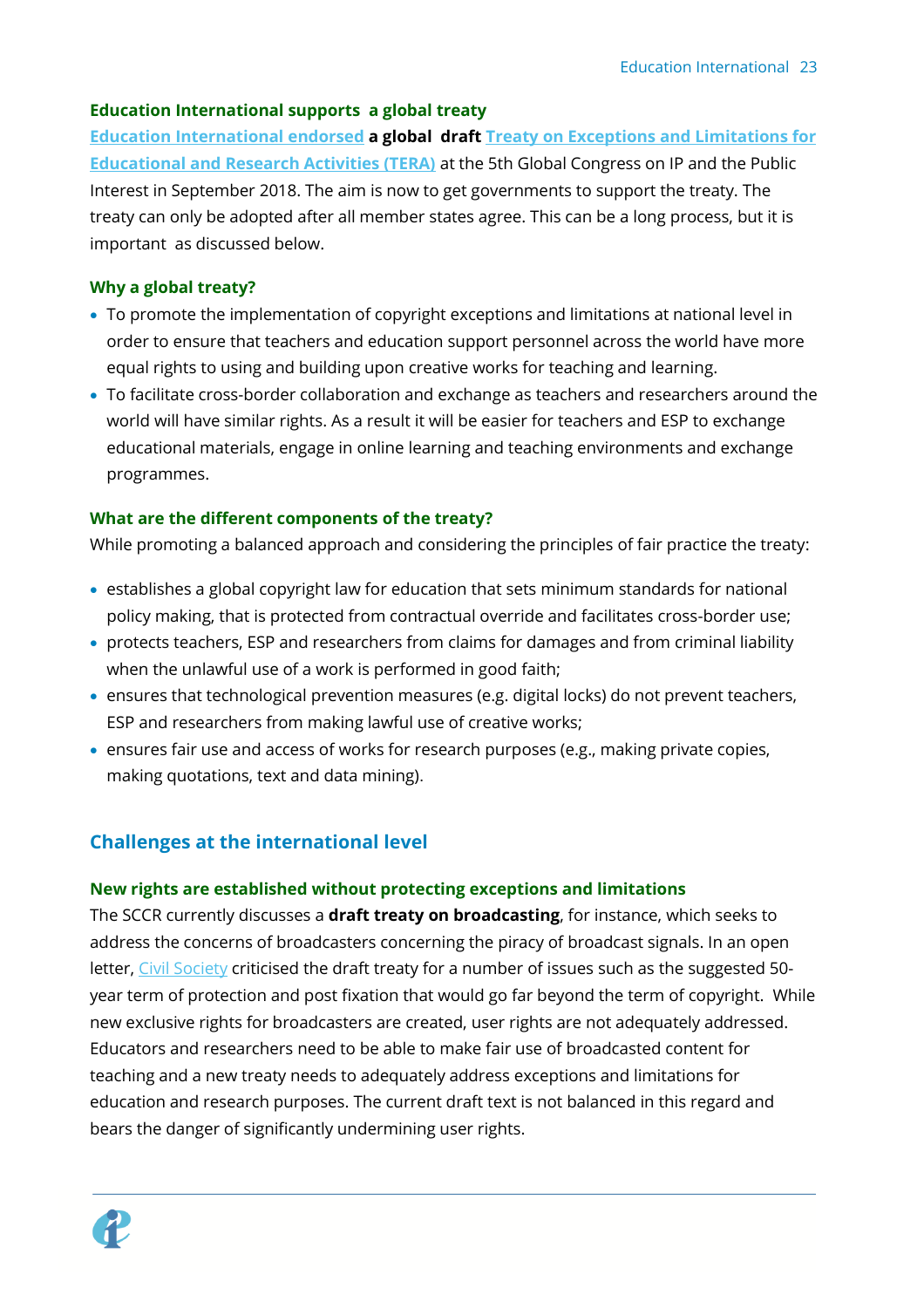#### **Education International supports a global treaty**

**[Education International endorsed](https://ei-ie.org/en/detail/16003/ei-endorses-draft-treaty-on-copyright-exceptions-in-education) a global draft [Treaty on Exceptions and Limitations for](file:///C:/Users/sflynn/AppData/Local/Microsoft/Windows/INetCache/Content.Outlook/LFAGXYNG/infojustice.org/tera)  [Educational and Research Activities \(TERA\)](file:///C:/Users/sflynn/AppData/Local/Microsoft/Windows/INetCache/Content.Outlook/LFAGXYNG/infojustice.org/tera)** at the 5th Global Congress on IP and the Public Interest in September 2018. The aim is now to get governments to support the treaty. The treaty can only be adopted after all member states agree. This can be a long process, but it is important as discussed below.

#### **Why a global treaty?**

- To promote the implementation of copyright exceptions and limitations at national level in order to ensure that teachers and education support personnel across the world have more equal rights to using and building upon creative works for teaching and learning.
- To facilitate cross-border collaboration and exchange as teachers and researchers around the world will have similar rights. As a result it will be easier for teachers and ESP to exchange educational materials, engage in online learning and teaching environments and exchange programmes.

#### **What are the different components of the treaty?**

While promoting a balanced approach and considering the principles of fair practice the treaty:

- establishes a global copyright law for education that sets minimum standards for national policy making, that is protected from contractual override and facilitates cross-border use;
- protects teachers, ESP and researchers from claims for damages and from criminal liability when the unlawful use of a work is performed in good faith;
- ensures that technological prevention measures (e.g. digital locks) do not prevent teachers, ESP and researchers from making lawful use of creative works;
- ensures fair use and access of works for research purposes (e.g., making private copies, making quotations, text and data mining).

# <span id="page-22-0"></span>**Challenges at the international level**

#### **New rights are established without protecting exceptions and limitations**

The SCCR currently discusses a **draft treaty on broadcasting**, for instance, which seeks to address the concerns of broadcasters concerning the piracy of broadcast signals. In an open letter, [Civil Society](http://www.ip-watch.org/2018/05/31/civil-society-issues-call-action-draft-wipo-copyright-exceptions/) criticised the draft treaty for a number of issues such as the suggested 50year term of protection and post fixation that would go far beyond the term of copyright. While new exclusive rights for broadcasters are created, user rights are not adequately addressed. Educators and researchers need to be able to make fair use of broadcasted content for teaching and a new treaty needs to adequately address exceptions and limitations for education and research purposes. The current draft text is not balanced in this regard and bears the danger of significantly undermining user rights.

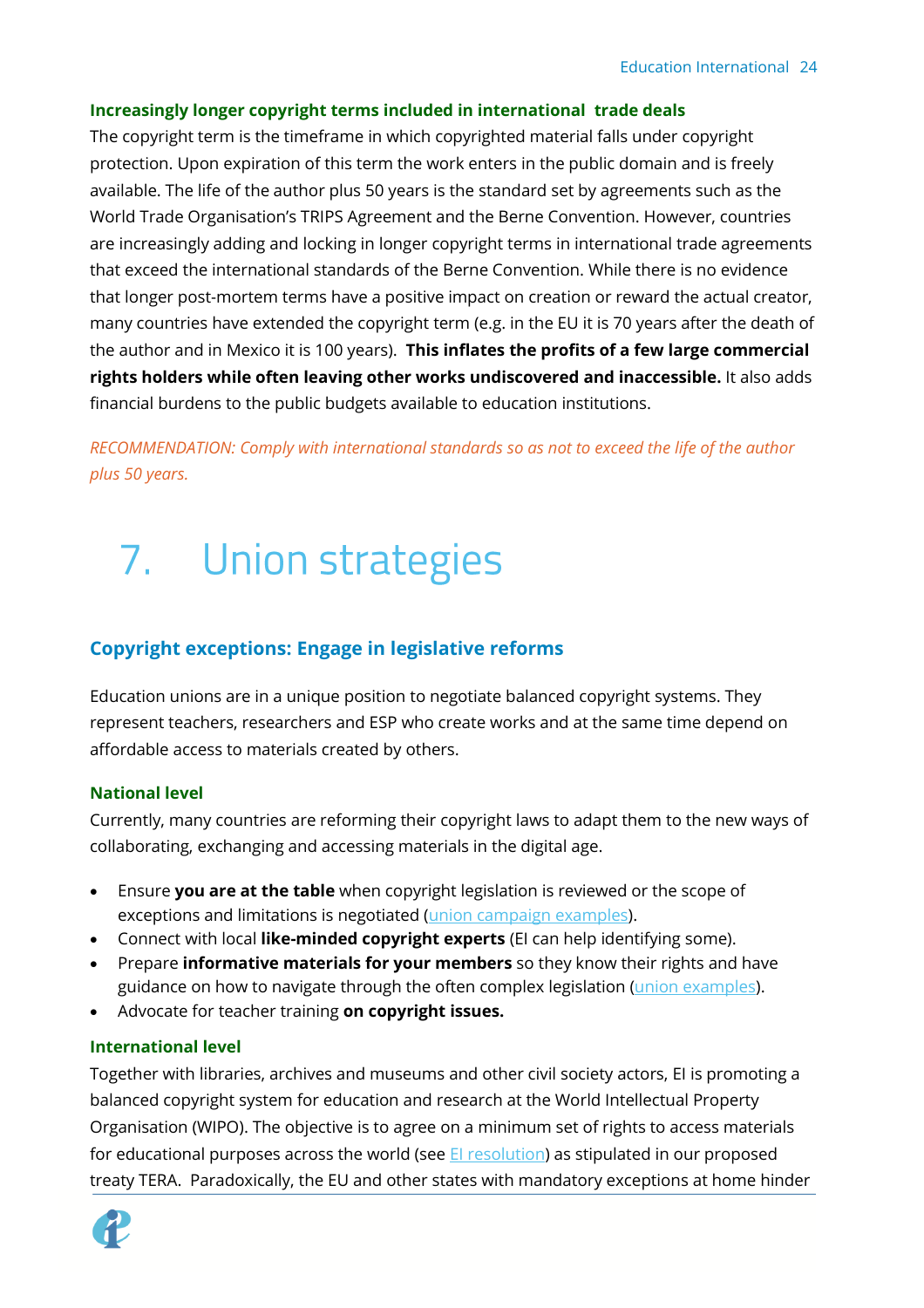#### **Increasingly longer copyright terms included in international trade deals**

The copyright term is the timeframe in which copyrighted material falls under copyright protection. Upon expiration of this term the work enters in the public domain and is freely available. The life of the author plus 50 years is the standard set by agreements such as the World Trade Organisation's TRIPS Agreement and the Berne Convention. However, countries are increasingly adding and locking in longer copyright terms in international trade agreements that exceed the international standards of the Berne Convention. While there is no evidence that longer post-mortem terms have a positive impact on creation or reward the actual creator, many countries have extended the copyright term (e.g. in the EU it is 70 years after the death of the author and in Mexico it is 100 years). **This inflates the profits of a few large commercial rights holders while often leaving other works undiscovered and inaccessible.** It also adds financial burdens to the public budgets available to education institutions.

*RECOMMENDATION: Comply with international standards so as not to exceed the life of the author plus 50 years.*

# <span id="page-23-0"></span>7. Union strategies

### <span id="page-23-1"></span>**Copyright exceptions: Engage in legislative reforms**

Education unions are in a unique position to negotiate balanced copyright systems. They represent teachers, researchers and ESP who create works and at the same time depend on affordable access to materials created by others.

#### **National level**

Currently, many countries are reforming their copyright laws to adapt them to the new ways of collaborating, exchanging and accessing materials in the digital age.

- Ensure **you are at the table** when copyright legislation is reviewed or the scope of exceptions and limitations is negotiated (union campaign [examples\)](https://eiie.sharepoint.com/:w:/s/copyright/EejHcaBHPAtMv0kiwlSCgDsBaRDsJdi-t6iW_pVphpllvw?e=q7Ke8G).
- Connect with local **like-minded copyright experts** (EI can help identifying some).
- Prepare **informative materials for your members** so they know their rights and have guidance on how to navigate through the often complex legislation [\(union examples\)](https://eiie.sharepoint.com/:w:/s/copyright/ER54kspsZMtKvGjLL6Dso8AB5jTuHKjVM4RPAgl1xSNoFA?e=yZnTl5).
- Advocate for teacher training **on copyright issues.**

#### **International level**

Together with libraries, archives and museums and other civil society actors, EI is promoting a balanced copyright system for education and research at the World Intellectual Property Organisation (WIPO). The objective is to agree on a minimum set of rights to access materials for educational purposes across the world (see *El resolution*) as stipulated in our proposed treaty TERA. Paradoxically, the EU and other states with mandatory exceptions at home hinder

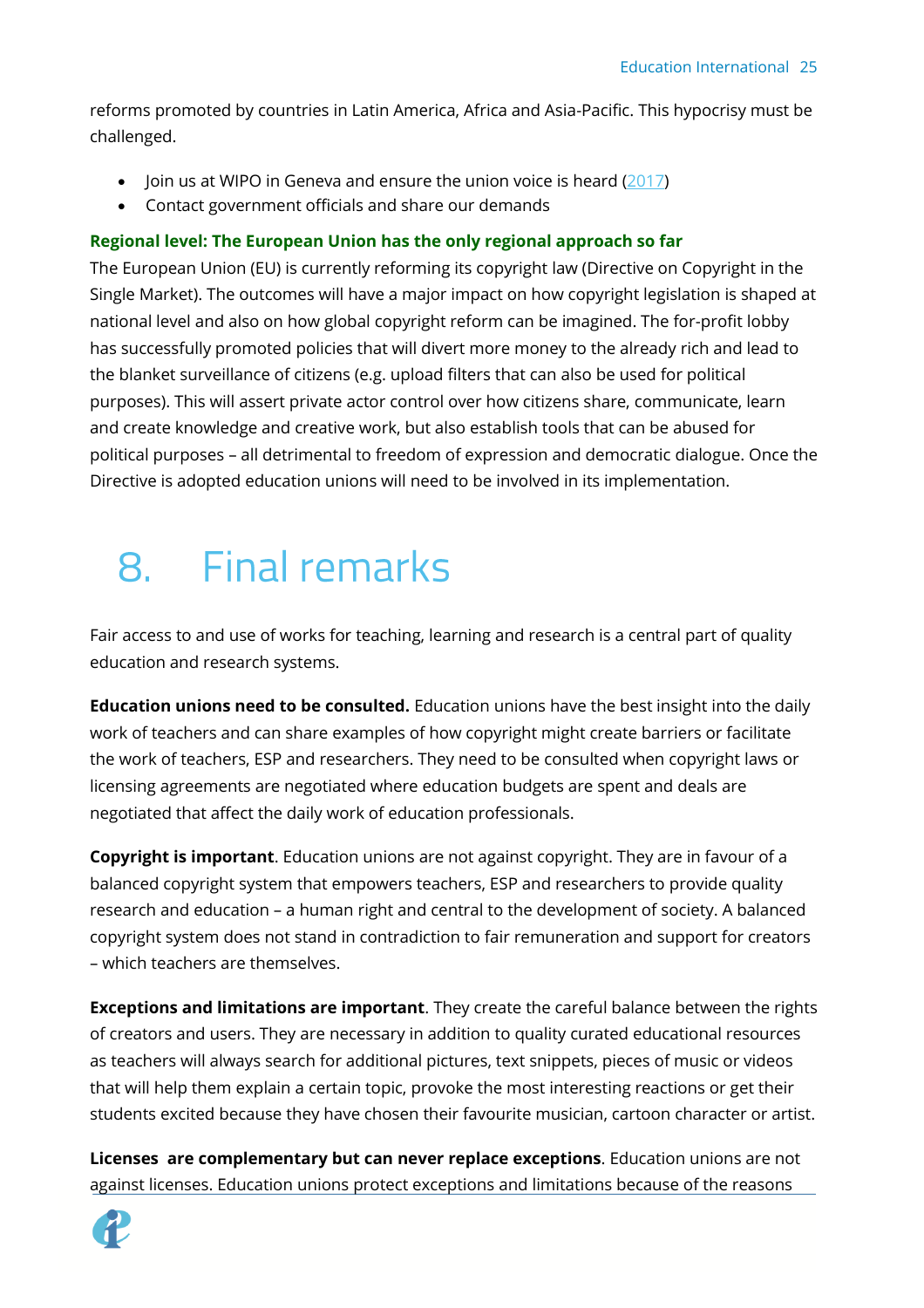reforms promoted by countries in Latin America, Africa and Asia-Pacific. This hypocrisy must be challenged.

- Join us at WIPO in Geneva and ensure the union voice is heard  $(2017)$
- Contact government officials and share our demands

#### **Regional level: The European Union has the only regional approach so far**

The European Union (EU) is currently reforming its copyright law (Directive on Copyright in the Single Market). The outcomes will have a major impact on how copyright legislation is shaped at national level and also on how global copyright reform can be imagined. The for-profit lobby has successfully promoted policies that will divert more money to the already rich and lead to the blanket surveillance of citizens (e.g. upload filters that can also be used for political purposes). This will assert private actor control over how citizens share, communicate, learn and create knowledge and creative work, but also establish tools that can be abused for political purposes – all detrimental to freedom of expression and democratic dialogue. Once the Directive is adopted education unions will need to be involved in its implementation.

# <span id="page-24-0"></span>8. Final remarks

Fair access to and use of works for teaching, learning and research is a central part of quality education and research systems.

**Education unions need to be consulted.** Education unions have the best insight into the daily work of teachers and can share examples of how copyright might create barriers or facilitate the work of teachers, ESP and researchers. They need to be consulted when copyright laws or licensing agreements are negotiated where education budgets are spent and deals are negotiated that affect the daily work of education professionals.

**Copyright is important**. Education unions are not against copyright. They are in favour of a balanced copyright system that empowers teachers, ESP and researchers to provide quality research and education – a human right and central to the development of society. A balanced copyright system does not stand in contradiction to fair remuneration and support for creators – which teachers are themselves.

**Exceptions and limitations are important**. They create the careful balance between the rights of creators and users. They are necessary in addition to quality curated educational resources as teachers will always search for additional pictures, text snippets, pieces of music or videos that will help them explain a certain topic, provoke the most interesting reactions or get their students excited because they have chosen their favourite musician, cartoon character or artist.

**Licenses are complementary but can never replace exceptions**. Education unions are not against licenses. Education unions protect exceptions and limitations because of the reasons

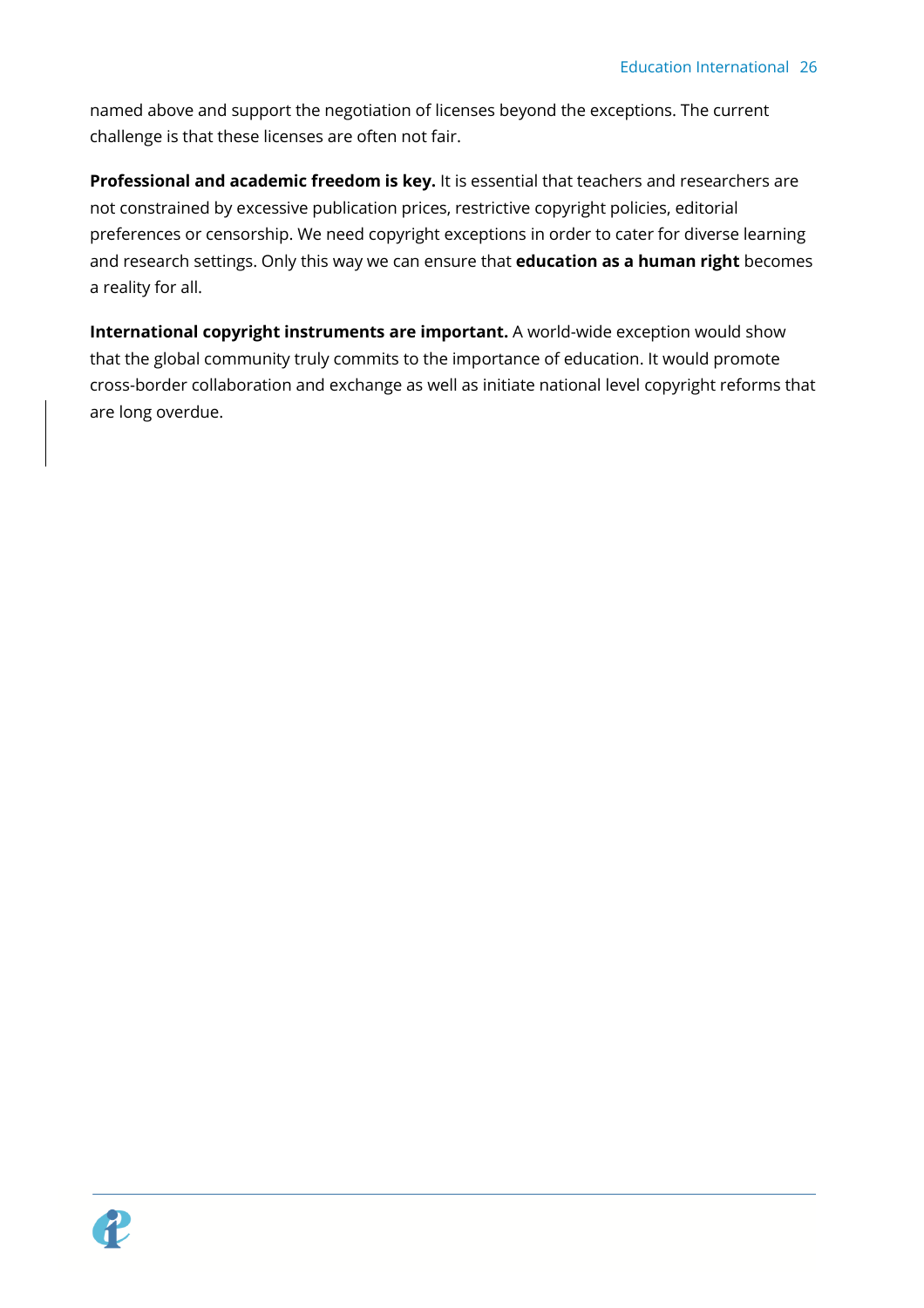named above and support the negotiation of licenses beyond the exceptions. The current challenge is that these licenses are often not fair.

**Professional and academic freedom is key.** It is essential that teachers and researchers are not constrained by excessive publication prices, restrictive copyright policies, editorial preferences or censorship. We need copyright exceptions in order to cater for diverse learning and research settings. Only this way we can ensure that **education as a human right** becomes a reality for all.

**International copyright instruments are important.** A world-wide exception would show that the global community truly commits to the importance of education. It would promote cross-border collaboration and exchange as well as initiate national level copyright reforms that are long overdue.

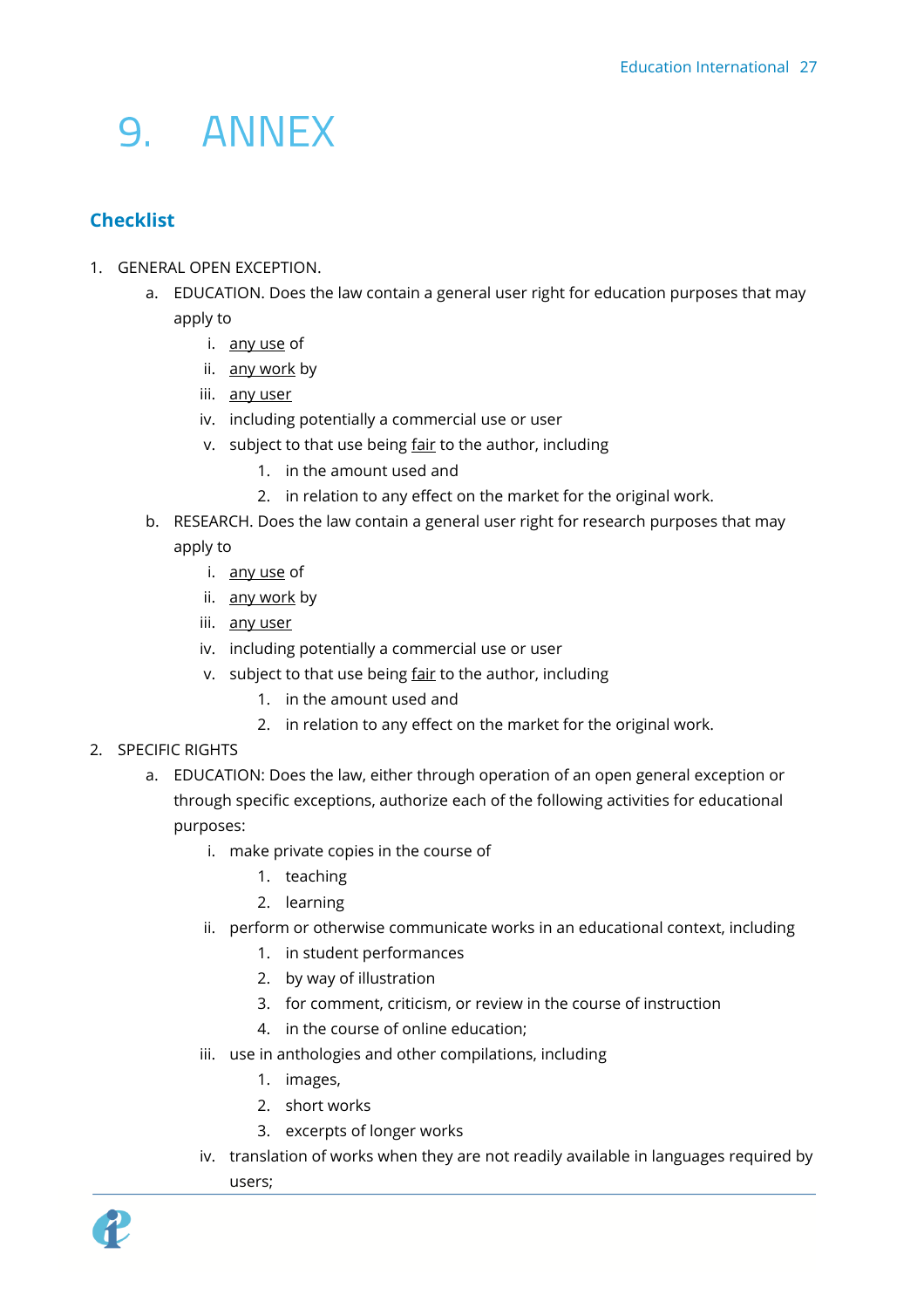# <span id="page-26-0"></span>9. ANNEX

# <span id="page-26-1"></span>**Checklist**

- 1. GENERAL OPEN EXCEPTION.
	- a. EDUCATION. Does the law contain a general user right for education purposes that may apply to
		- i. any use of
		- ii. any work by
		- iii. any user
		- iv. including potentially a commercial use or user
		- v. subject to that use being fair to the author, including
			- 1. in the amount used and
			- 2. in relation to any effect on the market for the original work.
	- b. RESEARCH. Does the law contain a general user right for research purposes that may apply to
		- i. any use of
		- ii. any work by
		- iii. any user
		- iv. including potentially a commercial use or user
		- v. subject to that use being fair to the author, including
			- 1. in the amount used and
			- 2. in relation to any effect on the market for the original work.
- 2. SPECIFIC RIGHTS
	- a. EDUCATION: Does the law, either through operation of an open general exception or through specific exceptions, authorize each of the following activities for educational purposes:
		- i. make private copies in the course of
			- 1. teaching
			- 2. learning
		- ii. perform or otherwise communicate works in an educational context, including
			- 1. in student performances
			- 2. by way of illustration
			- 3. for comment, criticism, or review in the course of instruction
			- 4. in the course of online education;
		- iii. use in anthologies and other compilations, including
			- 1. images,
			- 2. short works
			- 3. excerpts of longer works
		- iv. translation of works when they are not readily available in languages required by users;